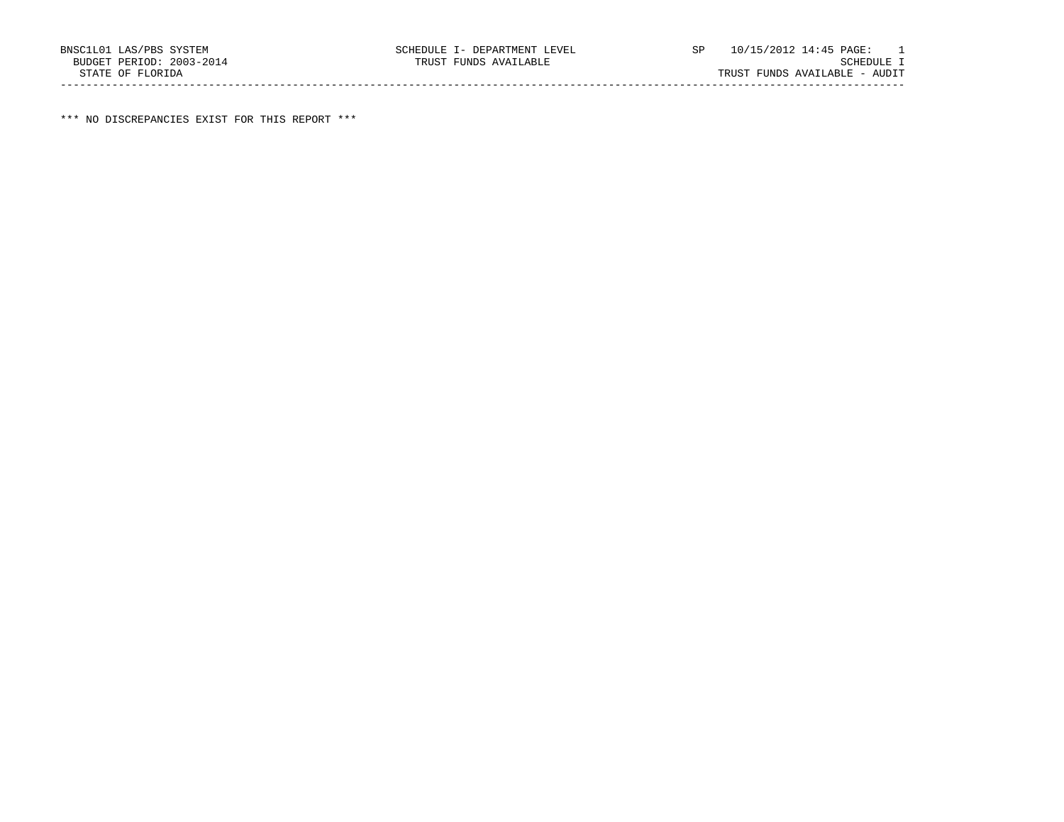\*\*\* NO DISCREPANCIES EXIST FOR THIS REPORT \*\*\*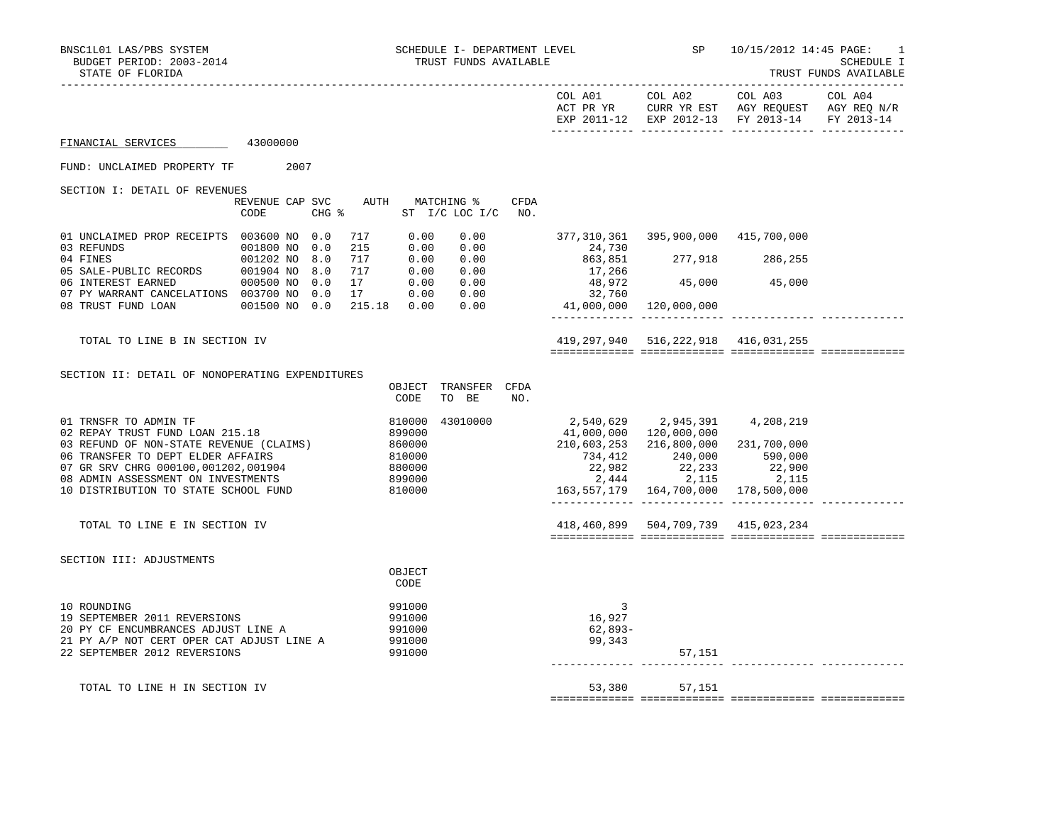|--|

|                                                                                                                                                                                                                                                               |                                         |                                                                |                                                                                                                  | COL A01 COL A02<br>ACT PR YR CURR YR EST AGY REQUEST AGY REQ N/R<br>EXP 2011-12 EXP 2012-13 FY 2013-14 | COL A03 | COL A04<br>FY 2013-14 |
|---------------------------------------------------------------------------------------------------------------------------------------------------------------------------------------------------------------------------------------------------------------|-----------------------------------------|----------------------------------------------------------------|------------------------------------------------------------------------------------------------------------------|--------------------------------------------------------------------------------------------------------|---------|-----------------------|
| FINANCIAL SERVICES 43000000                                                                                                                                                                                                                                   |                                         |                                                                |                                                                                                                  |                                                                                                        |         |                       |
| FUND: UNCLAIMED PROPERTY TF 2007                                                                                                                                                                                                                              |                                         |                                                                |                                                                                                                  |                                                                                                        |         |                       |
| SECTION I: DETAIL OF REVENUES                                                                                                                                                                                                                                 | REVENUE CAP SVC AUTH MATCHING %<br>CODE | <b>CFDA</b><br>CHG % ST I/C LOC I/C NO.                        |                                                                                                                  |                                                                                                        |         |                       |
| 01 UNCLAIMED PROP RECEIPTS 003600 NO 0.0<br>03 REFUNDS 001800 NO 0.0                                                                                                                                                                                          | 215                                     | 717 0.00<br>0.00<br>0.00 0.00                                  | 24,730                                                                                                           | 377,310,361 395,900,000 415,700,000                                                                    |         |                       |
| 04 FINES<br>05 SALE-PUBLIC RECORDS<br>06 INTEREST EARNED<br>06 INTEREST EARNED<br>000500 NO 0.0                                                                                                                                                               | 717<br>717                              | 0.00 0.00<br>0.00 0.00                                         |                                                                                                                  |                                                                                                        |         |                       |
| 06 INTEREST EARNED 000500 NO 0.0 17 0.00 0.00<br>07 PY WARRANT CANCELATIONS 003700 NO 0.0 17 0.00 0.00<br>08 TRUST FUND LOAN 001500 NO 0.0 215.18 0.00 0.00                                                                                                   |                                         |                                                                | $24,730$<br>$863,851$<br>$17,266$<br>$48,972$<br>$32,760$<br>$41,000,000$<br>$120,000,000$<br>$120,000,000$      |                                                                                                        |         |                       |
|                                                                                                                                                                                                                                                               |                                         |                                                                |                                                                                                                  | _______________________________                                                                        |         |                       |
| TOTAL TO LINE B IN SECTION IV                                                                                                                                                                                                                                 |                                         |                                                                |                                                                                                                  | 419, 297, 940 516, 222, 918 416, 031, 255                                                              |         |                       |
| SECTION II: DETAIL OF NONOPERATING EXPENDITURES                                                                                                                                                                                                               |                                         | OBJECT TRANSFER CFDA<br>CODE<br>TO BE<br>NO.                   |                                                                                                                  |                                                                                                        |         |                       |
| 01 TRNSFR TO ADMIN TF<br>02 REPAY TRUST FUND LOAN 215.18<br>03 REFUND OF NON-STATE REVENUE (CLAIMS)<br>06 TRANSFER TO DEPT ELDER AFFAIRS<br>07 GR SRV CHRG 000100,001202,001904<br>08 ADMIN ASSESSMENT ON INVESTMENTS<br>10 DISTRIBUTION TO STATE SCHOOL FUND | 810000                                  | 810000<br>43010000<br>$899000\n860000\n810000\n880000\n899000$ | $734,412$<br>$22,982$<br>$22,444$<br>$2,115$<br>$163,557,179$<br>$164,700,000$<br>$178,500,000$<br>$178,500,000$ | 2,540,629 2,945,391 4,208,219<br>41,000,000 120,000,000<br>210,603,253 216,800,000 231,700,000         |         |                       |
| TOTAL TO LINE E IN SECTION IV                                                                                                                                                                                                                                 |                                         |                                                                |                                                                                                                  | 418,460,899 504,709,739 415,023,234                                                                    |         |                       |
| SECTION III: ADJUSTMENTS                                                                                                                                                                                                                                      |                                         | OBJECT<br>CODE                                                 |                                                                                                                  |                                                                                                        |         |                       |
| 10 ROUNDING<br>19 SEPTEMBER 2011 REVERSIONS<br>20 PY CF ENCUMBRANCES ADJUST LINE A<br>21 PY A/P NOT CERT OPER CAT ADJUST LINE A<br>22 SEPTEMBER 2012 REVERSIONS                                                                                               |                                         | 991000<br>991000<br>991000<br>991000<br>991000                 | 3<br>16,927<br>62,893-<br>99,343                                                                                 | 57,151                                                                                                 |         |                       |
| TOTAL TO LINE H IN SECTION IV                                                                                                                                                                                                                                 |                                         |                                                                |                                                                                                                  | 53,380 57,151                                                                                          |         |                       |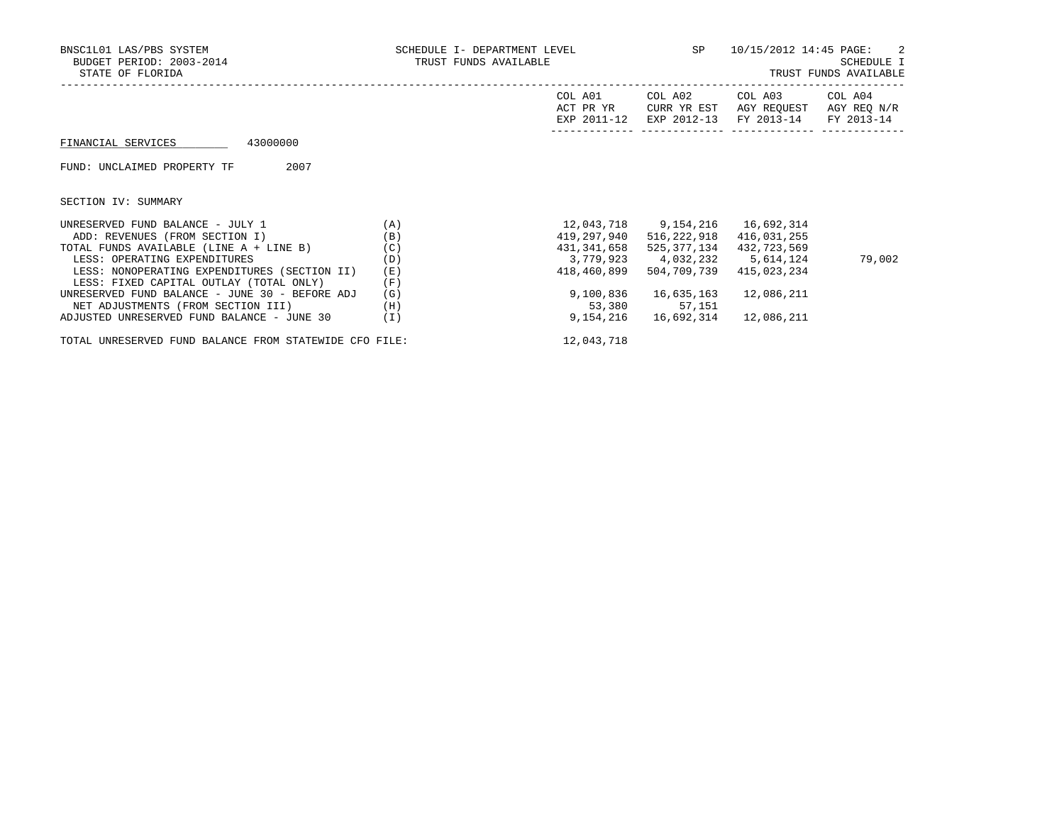| BNSC1L01 LAS/PBS SYSTEM<br>BUDGET PERIOD: 2003-2014<br>STATE OF FLORIDA | SCHEDULE I- DEPARTMENT LEVEL<br>TRUST FUNDS AVAILABLE |                                     |                                       | 10/15/2012 14:45 PAGE:               | -2<br>SCHEDULE I<br>TRUST FUNDS AVAILABLE |
|-------------------------------------------------------------------------|-------------------------------------------------------|-------------------------------------|---------------------------------------|--------------------------------------|-------------------------------------------|
|                                                                         |                                                       | COL A01<br>ACT PR YR<br>EXP 2011-12 | COL A02<br>CURR YR EST<br>EXP 2012-13 | COL A03<br>AGY REOUEST<br>FY 2013-14 | COL A04<br>AGY REQ N/R<br>FY 2013-14      |
| 43000000<br>FINANCIAL SERVICES                                          |                                                       |                                     |                                       |                                      |                                           |
| 2007<br>FUND: UNCLAIMED PROPERTY TF                                     |                                                       |                                     |                                       |                                      |                                           |
| SECTION IV: SUMMARY                                                     |                                                       |                                     |                                       |                                      |                                           |
| UNRESERVED FUND BALANCE - JULY 1                                        | (A)                                                   |                                     |                                       |                                      |                                           |
| ADD: REVENUES (FROM SECTION I)                                          | (B)                                                   | 419,297,940                         | 516,222,918                           | 416,031,255                          |                                           |
| TOTAL FUNDS AVAILABLE (LINE A + LINE B)                                 | (C)                                                   | 431,341,658                         | 525,377,134                           | 432,723,569                          |                                           |
| LESS: OPERATING EXPENDITURES                                            | (D)                                                   |                                     |                                       | 3,779,923 4,032,232 5,614,124        | 79,002                                    |
| LESS: NONOPERATING EXPENDITURES (SECTION II)                            | (E)                                                   | 418,460,899                         | 504,709,739                           | 415,023,234                          |                                           |
| LESS: FIXED CAPITAL OUTLAY (TOTAL ONLY)                                 | (F)                                                   |                                     |                                       |                                      |                                           |
| UNRESERVED FUND BALANCE - JUNE 30 - BEFORE ADJ                          | (G)                                                   | 9,100,836                           | 16,635,163                            | 12,086,211                           |                                           |
| NET ADJUSTMENTS (FROM SECTION III)                                      | (H)                                                   |                                     | 53,380 57,151                         |                                      |                                           |
| ADJUSTED UNRESERVED FUND BALANCE - JUNE 30                              | (I)                                                   | 9,154,216                           | 16,692,314                            | 12,086,211                           |                                           |

TOTAL UNRESERVED FUND BALANCE FROM STATEWIDE CFO FILE: 12,043,718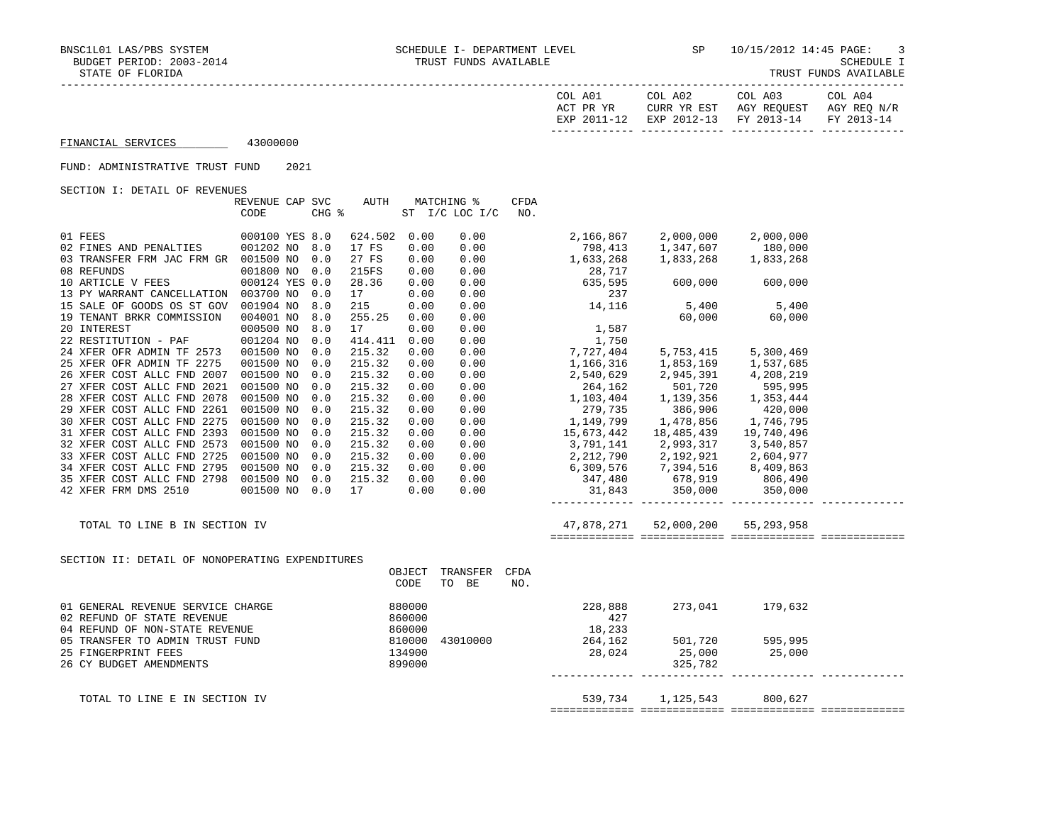| COL<br>A01<br>DR.<br>- YR<br>ΔΟͲ | COL A02<br>YR EST<br>CURR | COL A03<br>AGY REOUEST   | COL A04<br>AGY REO N/R   |
|----------------------------------|---------------------------|--------------------------|--------------------------|
| $\sqrt{10}$<br><b>UYD</b>        | $2012 - 13$<br><b>FYD</b> | $2013 - 14$<br><b>FV</b> | $2013 - 14$<br><b>DV</b> |
|                                  |                           |                          |                          |

FINANCIAL SERVICES 43000000

## FUND: ADMINISTRATIVE TRUST FUND 2021

SECTION I: DETAIL OF REVENUES

|                                                 | REVENUE CAP SVC<br>CODE                                                                               | CHG % | AUTH    |              | MATCHING %<br>ST I/C LOC I/C | CFDA<br>NO. |                                                                                                  |                        |                              |  |
|-------------------------------------------------|-------------------------------------------------------------------------------------------------------|-------|---------|--------------|------------------------------|-------------|--------------------------------------------------------------------------------------------------|------------------------|------------------------------|--|
| 01 FEES                                         | 000100 YES 8.0                                                                                        |       | 624.502 |              |                              |             |                                                                                                  |                        |                              |  |
| 02 FINES AND PENALTIES                          | 001202 NO                                                                                             | 8.0   | 17 FS   | 0.00<br>0.00 | 0.00<br>0.00                 |             | 2,166,867<br>798,413                                                                             | 2,000,000<br>1,347,607 | 2,000,000<br>180,000         |  |
| 03 TRANSFER FRM JAC FRM GR 001500 NO            |                                                                                                       | 0.0   | 27 FS   | 0.00         | 0.00                         |             | 1,633,268                                                                                        | 1,833,268              | 1,833,268                    |  |
| 08 REFUNDS                                      | 001800 NO                                                                                             | 0.0   | 215FS   | 0.00         | 0.00                         |             |                                                                                                  |                        |                              |  |
| 10 ARTICLE V FEES                               | 000124 YES 0.0                                                                                        |       | 28.36   | 0.00         | 0.00                         |             | 28,717<br>635,595                                                                                | 600,000 600,000        |                              |  |
| 13 PY WARRANT CANCELLATION                      | 003700 NO                                                                                             | 0.0   | 17      | 0.00         | 0.00                         |             |                                                                                                  |                        |                              |  |
| 15 SALE OF GOODS OS ST GOV                      | 001904 NO                                                                                             | 8.0   | 215     | 0.00         | 0.00                         |             | $\frac{237}{14,116}$                                                                             |                        |                              |  |
| 19 TENANT BRKR COMMISSION                       | 004001 NO                                                                                             | 8.0   | 255.25  | 0.00         | 0.00                         |             |                                                                                                  |                        | 5,400 5,400<br>60,000 60,000 |  |
| 20 INTEREST                                     | 000500 NO                                                                                             | 8.0   | 17      | 0.00         | 0.00                         |             | 1,587                                                                                            |                        |                              |  |
| 22 RESTITUTION - PAF                            | 001204 NO                                                                                             | 0.0   | 414.411 | 0.00         | 0.00                         |             |                                                                                                  |                        |                              |  |
| 24 XFER OFR ADMIN TF 2573                       | 001500 NO                                                                                             | 0.0   | 215.32  | 0.00         | 0.00                         |             | 1,750<br>7,727,404<br>1,166,316                                                                  | 5,753,415              | 5,300,469                    |  |
| 25 XFER OFR ADMIN TF 2275                       | 001500 NO                                                                                             | 0.0   | 215.32  | 0.00         | 0.00                         |             |                                                                                                  | 1,853,169              | 1,537,685                    |  |
| 26 XFER COST ALLC FND 2007                      | 001500 NO                                                                                             | 0.0   | 215.32  | 0.00         | 0.00                         |             | 2,540,629                                                                                        | 2,945,391              | 4,208,219                    |  |
| 27 XFER COST ALLC FND 2021                      | 001500 NO                                                                                             | 0.0   | 215.32  | 0.00         | 0.00                         |             |                                                                                                  |                        | 595,995                      |  |
| 28 XFER COST ALLC FND 2078                      | 001500 NO                                                                                             | 0.0   | 215.32  | 0.00         | 0.00                         |             | 264, 162 501, 720<br>1, 103, 404 1, 139, 356                                                     |                        | 1,353,444                    |  |
| 29 XFER COST ALLC FND 2261                      | 001500 NO                                                                                             | 0.0   | 215.32  | 0.00         | 0.00                         |             | 279,735                                                                                          | 386,906                | 420,000                      |  |
| 30 XFER COST ALLC FND 2275                      | 001500 NO                                                                                             | 0.0   | 215.32  | 0.00         | 0.00                         |             | 1,149,799                                                                                        | 1,478,856              | 1,746,795                    |  |
| 31 XFER COST ALLC FND 2393                      | 001500 NO                                                                                             | 0.0   | 215.32  | 0.00         | 0.00                         |             |                                                                                                  | 18,485,439             | 19,740,496                   |  |
| 32 XFER COST ALLC FND 2573                      | 001500 NO                                                                                             | 0.0   | 215.32  | 0.00         | 0.00                         |             | 15,673,442<br>3,791,141                                                                          | 2,993,317              | 3,540,857                    |  |
| 33 XFER COST ALLC FND 2725                      | 001500 NO                                                                                             | 0.0   | 215.32  | 0.00         | 0.00                         |             | 2, 212, 790                                                                                      | 2,192,921              | 2,604,977                    |  |
| 34 XFER COST ALLC FND 2795                      | 001500 NO                                                                                             | 0.0   | 215.32  | 0.00         | $0.00$<br>$0.00$             |             |                                                                                                  |                        |                              |  |
| 35 XFER COST ALLC FND 2798                      | 001500 NO                                                                                             | 0.0   | 215.32  | 0.00         |                              |             |                                                                                                  |                        |                              |  |
| 42 XFER FRM DMS 2510                            | 001500 NO 0.0                                                                                         |       | 17      | 0.00         | 0.00                         |             | $6,309,576$<br>$347,480$<br>$31,843$<br>$516$<br>$576,919$<br>$31,843$<br>$350,000$<br>$350,000$ |                        |                              |  |
|                                                 |                                                                                                       |       |         |              |                              |             |                                                                                                  |                        |                              |  |
| TOTAL TO LINE B IN SECTION IV                   |                                                                                                       |       |         |              |                              |             | 47,878,271                                                                                       | 52,000,200             | 55, 293, 958                 |  |
| SECTION II: DETAIL OF NONOPERATING EXPENDITURES |                                                                                                       |       |         |              |                              |             |                                                                                                  |                        |                              |  |
|                                                 |                                                                                                       |       |         | OBJECT       | TRANSFER                     | CFDA        |                                                                                                  |                        |                              |  |
|                                                 |                                                                                                       |       |         | CODE         | TO BE                        | NO.         |                                                                                                  |                        |                              |  |
| 01 GENERAL REVENUE SERVICE CHARGE               |                                                                                                       |       |         |              |                              |             | 228,888                                                                                          |                        | 273,041 179,632              |  |
| 02 REFUND OF STATE REVENUE                      |                                                                                                       |       |         |              |                              |             | 427                                                                                              |                        |                              |  |
| 04 REFUND OF NON-STATE REVENUE                  |                                                                                                       |       |         |              |                              |             | 18,233                                                                                           |                        |                              |  |
| 05 TRANSFER TO ADMIN TRUST FUND                 |                                                                                                       |       |         |              |                              |             | $43010000$ 264,162                                                                               | 501,720                | 595,995                      |  |
| 25 FINGERPRINT FEES                             |                                                                                                       |       |         |              |                              |             | 28,024                                                                                           | 25,000                 | 25,000                       |  |
| 26 CY BUDGET AMENDMENTS                         | FE CHARGE 880000<br>FE CHARGE 860000<br>EVENUE 860000<br>FE FUND 810000<br>134900<br>899000<br>899000 |       |         |              |                              |             |                                                                                                  | 325,782                |                              |  |
|                                                 |                                                                                                       |       |         |              |                              |             |                                                                                                  |                        |                              |  |
| TOTAL TO LINE E IN SECTION IV                   |                                                                                                       |       |         |              |                              |             | 539,734                                                                                          | 1,125,543              | 800,627                      |  |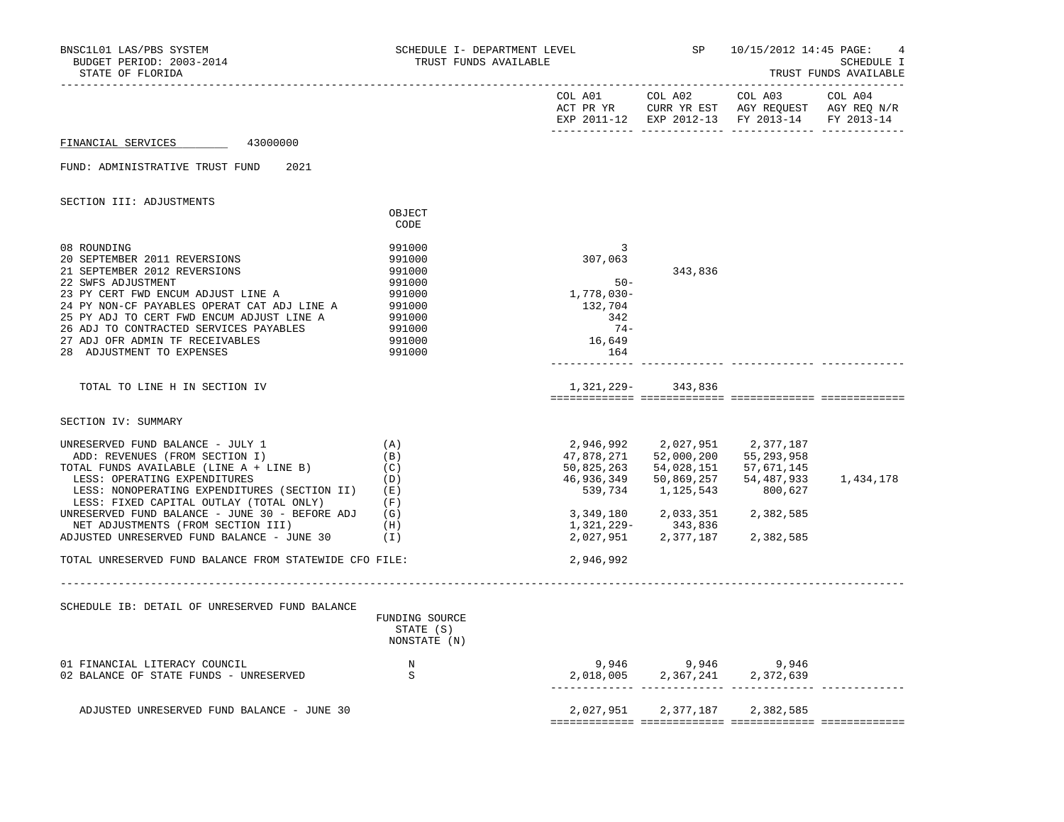| BNSC1L01 LAS/PBS SYSTEM<br>BUDGET PERIOD: 2003-2014<br>STATE OF FLORIDA                                                                                                                                                                                                                                                                       | SCHEDULE I- DEPARTMENT LEVEL<br>TRUST FUNDS AVAILABLE                                            |                                                                                  |                                                                                 | SP 10/15/2012 14:45 PAGE:                                                                                             | SCHEDULE I<br>TRUST FUNDS AVAILABLE |
|-----------------------------------------------------------------------------------------------------------------------------------------------------------------------------------------------------------------------------------------------------------------------------------------------------------------------------------------------|--------------------------------------------------------------------------------------------------|----------------------------------------------------------------------------------|---------------------------------------------------------------------------------|-----------------------------------------------------------------------------------------------------------------------|-------------------------------------|
|                                                                                                                                                                                                                                                                                                                                               |                                                                                                  |                                                                                  |                                                                                 | EXP 2011-12 EXP 2012-13 FY 2013-14 FY 2013-14                                                                         |                                     |
| 43000000<br>FINANCIAL SERVICES                                                                                                                                                                                                                                                                                                                |                                                                                                  |                                                                                  |                                                                                 |                                                                                                                       |                                     |
| FUND: ADMINISTRATIVE TRUST FUND<br>2021                                                                                                                                                                                                                                                                                                       |                                                                                                  |                                                                                  |                                                                                 |                                                                                                                       |                                     |
| SECTION III: ADJUSTMENTS                                                                                                                                                                                                                                                                                                                      | OBJECT                                                                                           |                                                                                  |                                                                                 |                                                                                                                       |                                     |
|                                                                                                                                                                                                                                                                                                                                               | CODE                                                                                             |                                                                                  |                                                                                 |                                                                                                                       |                                     |
| 08 ROUNDING<br>20 SEPTEMBER 2011 REVERSIONS<br>21 SEPTEMBER 2012 REVERSIONS<br>22 SWFS ADJUSTMENT<br>23 PY CERT FWD ENCUM ADJUST LINE A<br>24 PY NON-CF PAYABLES OPERAT CAT ADJ LINE A<br>25 PY ADJ TO CERT FWD ENCUM ADJUST LINE A<br>26 ADJ TO CONTRACTED SERVICES PAYABLES<br>27 ADJ OFR ADMIN TF RECEIVABLES<br>28 ADJUSTMENT TO EXPENSES | 991000<br>991000<br>991000<br>991000<br>991000<br>991000<br>991000<br>991000<br>991000<br>991000 | 3<br>307,063<br>$50 -$<br>1,778,030-<br>132,704<br>342<br>$74-$<br>16,649<br>164 | 343,836                                                                         |                                                                                                                       |                                     |
| TOTAL TO LINE H IN SECTION IV                                                                                                                                                                                                                                                                                                                 |                                                                                                  |                                                                                  | 1,321,229- 343,836                                                              |                                                                                                                       |                                     |
| SECTION IV: SUMMARY                                                                                                                                                                                                                                                                                                                           |                                                                                                  |                                                                                  |                                                                                 |                                                                                                                       |                                     |
| UNRESERVED FUND BALANCE - JULY 1<br>ADD: REVENUES (FROM SECTION I)<br>TOTAL FUNDS AVAILABLE (LINE A + LINE B)<br>LESS: OPERATING EXPENDITURES<br>LESS: NONOPERATING EXPENDITURES (SECTION II)<br>LESS: FIXED CAPITAL OUTLAY (TOTAL ONLY)<br>UNRESERVED FUND BALANCE - JUNE 30 - BEFORE ADJ<br>NET ADJUSTMENTS (FROM SECTION III)              | (A)<br>(B)<br>(C)<br>(D)<br>(E)<br>(F)<br>(G)<br>(H)                                             | 50,825,263<br>46,936,349<br>1,321,229-                                           | 2,946,992 2,027,951<br>54,028,151<br>50,869,257<br>539,734 1,125,543<br>343,836 | 2,377,187<br>47,878,271 52,000,200 55,293,958<br>57,671,145<br>54,487,933<br>800,627<br>3,349,180 2,033,351 2,382,585 | 1,434,178                           |
| ADJUSTED UNRESERVED FUND BALANCE - JUNE 30                                                                                                                                                                                                                                                                                                    | (I)                                                                                              |                                                                                  |                                                                                 | 2,027,951 2,377,187 2,382,585                                                                                         |                                     |
| TOTAL UNRESERVED FUND BALANCE FROM STATEWIDE CFO FILE:                                                                                                                                                                                                                                                                                        |                                                                                                  | 2,946,992                                                                        |                                                                                 |                                                                                                                       |                                     |
| SCHEDULE IB: DETAIL OF UNRESERVED FUND BALANCE                                                                                                                                                                                                                                                                                                | FUNDING SOURCE<br>STATE (S)<br>NONSTATE (N)                                                      |                                                                                  |                                                                                 |                                                                                                                       |                                     |
| 01 FINANCIAL LITERACY COUNCIL<br>02 BALANCE OF STATE FUNDS - UNRESERVED                                                                                                                                                                                                                                                                       | N<br>S                                                                                           | $9,946$<br>2,018,005<br>2,367,241<br>2,372,639                                   |                                                                                 |                                                                                                                       |                                     |
| ADJUSTED UNRESERVED FUND BALANCE - JUNE 30                                                                                                                                                                                                                                                                                                    |                                                                                                  |                                                                                  |                                                                                 | 2,027,951 2,377,187 2,382,585                                                                                         |                                     |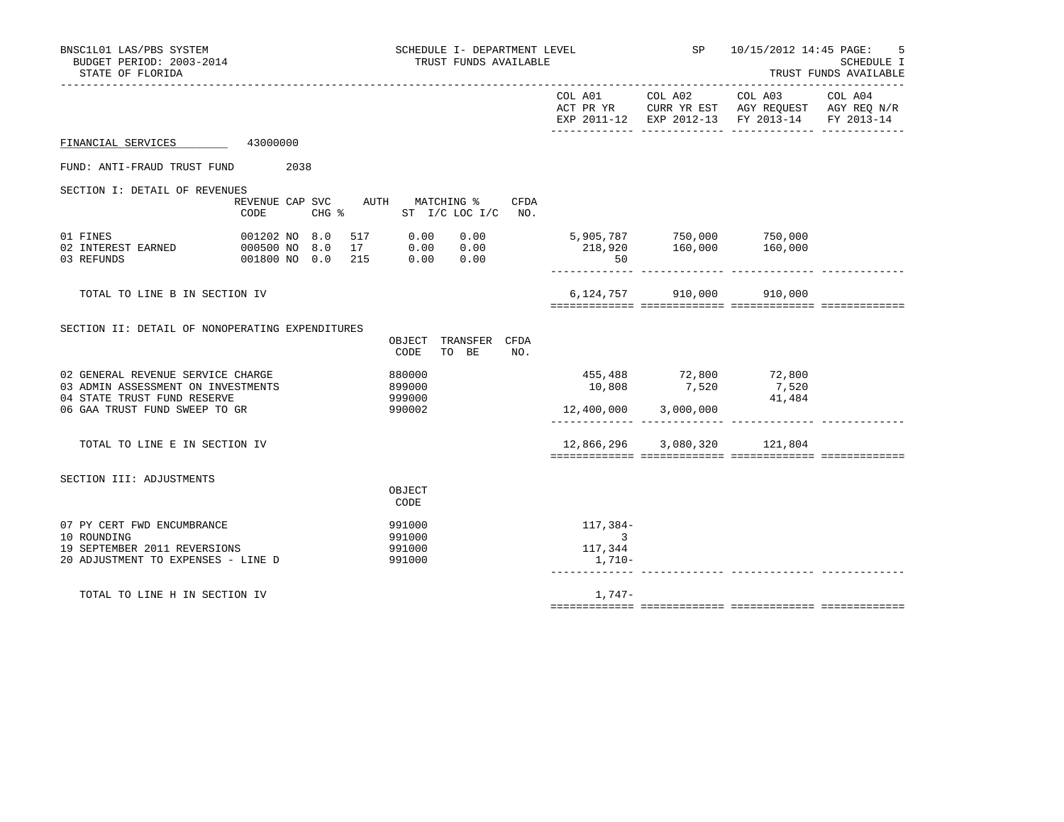| BNSC1L01 LAS/PBS SYSTEM<br>SCHEDULE I- DEPARTMENT LEVEL<br>BUDGET PERIOD: 2003-2014<br>TRUST FUNDS AVAILABLE<br>STATE OF FLORIDA |      |                                                                                                                                                                                                                                                                                             | SP 10/15/2012 14:45 PAGE:                       | 5<br>SCHEDULE I<br>TRUST FUNDS AVAILABLE                                                                                               |  |
|----------------------------------------------------------------------------------------------------------------------------------|------|---------------------------------------------------------------------------------------------------------------------------------------------------------------------------------------------------------------------------------------------------------------------------------------------|-------------------------------------------------|----------------------------------------------------------------------------------------------------------------------------------------|--|
|                                                                                                                                  |      |                                                                                                                                                                                                                                                                                             | COL A01 COL A02                                 | COL A03 COL A04<br>ACT PR YR $\,$ CURR YR EST $\,$ AGY REQUEST $\,$ AGY REQ $\rm N/R$<br>EXP 2011-12 EXP 2012-13 FY 2013-14 FY 2013-14 |  |
| FINANCIAL SERVICES 43000000                                                                                                      |      |                                                                                                                                                                                                                                                                                             |                                                 |                                                                                                                                        |  |
| FUND: ANTI-FRAUD TRUST FUND 2038                                                                                                 |      |                                                                                                                                                                                                                                                                                             |                                                 |                                                                                                                                        |  |
| SECTION I: DETAIL OF REVENUES                                                                                                    |      |                                                                                                                                                                                                                                                                                             |                                                 |                                                                                                                                        |  |
|                                                                                                                                  | CODE | REVENUE CAP SVC AUTH MATCHING %<br>CFDA<br>CHG % ST I/C LOC I/C NO.                                                                                                                                                                                                                         |                                                 |                                                                                                                                        |  |
| 01 FINES<br>02 INTEREST EARNED 000500 NO 8.0<br>03 REFUNDS                                                                       |      | $\begin{array}{cccccccc} 001202&\texttt{NO} & 8.0 & 517 & 0.00 & 0.00 & 5,905,787 & 750,000 & 750,000 \\ 000500&\texttt{NO} & 8.0 & 17 & 0.00 & 0.00 & 0.00 & 218,920 & 160,000 & 160,000 \\ 001800&\texttt{NO} & 0.0 & 215 & 0.00 & 0.00 & 0.00 & 50 & 0.00 & 0.00 & 0.00 & 0.00 & 0.00 &$ |                                                 |                                                                                                                                        |  |
| TOTAL TO LINE B IN SECTION IV                                                                                                    |      |                                                                                                                                                                                                                                                                                             |                                                 | 6,124,757 910,000 910,000                                                                                                              |  |
| SECTION II: DETAIL OF NONOPERATING EXPENDITURES                                                                                  |      | OBJECT TRANSFER CFDA<br>TO BE NO.<br>CODE                                                                                                                                                                                                                                                   |                                                 |                                                                                                                                        |  |
| 02 GENERAL REVENUE SERVICE CHARGE<br>03 ADMIN ASSESSMENT ON INVESTMENTS<br>04 STATE TRUST FUND RESERVE                           |      | 880000<br>899000<br>999000                                                                                                                                                                                                                                                                  | 455,488 72,800 72,800                           | $7,520$<br>10,808<br>41,484                                                                                                            |  |
| 06 GAA TRUST FUND SWEEP TO GR                                                                                                    |      | 990002                                                                                                                                                                                                                                                                                      |                                                 |                                                                                                                                        |  |
| TOTAL TO LINE E IN SECTION IV                                                                                                    |      |                                                                                                                                                                                                                                                                                             |                                                 | 12,866,296 3,080,320 121,804                                                                                                           |  |
| SECTION III: ADJUSTMENTS                                                                                                         |      | OBJECT<br>CODE                                                                                                                                                                                                                                                                              |                                                 |                                                                                                                                        |  |
| 07 PY CERT FWD ENCUMBRANCE<br>10 ROUNDING<br>19 SEPTEMBER 2011 REVERSIONS<br>20 ADJUSTMENT TO EXPENSES - LINE D                  |      | 991000<br>991000<br>991000<br>991000                                                                                                                                                                                                                                                        | 117,384-<br>$\overline{3}$<br>117,344<br>1,710- |                                                                                                                                        |  |
| TOTAL TO LINE H IN SECTION IV                                                                                                    |      |                                                                                                                                                                                                                                                                                             | 1,747-                                          |                                                                                                                                        |  |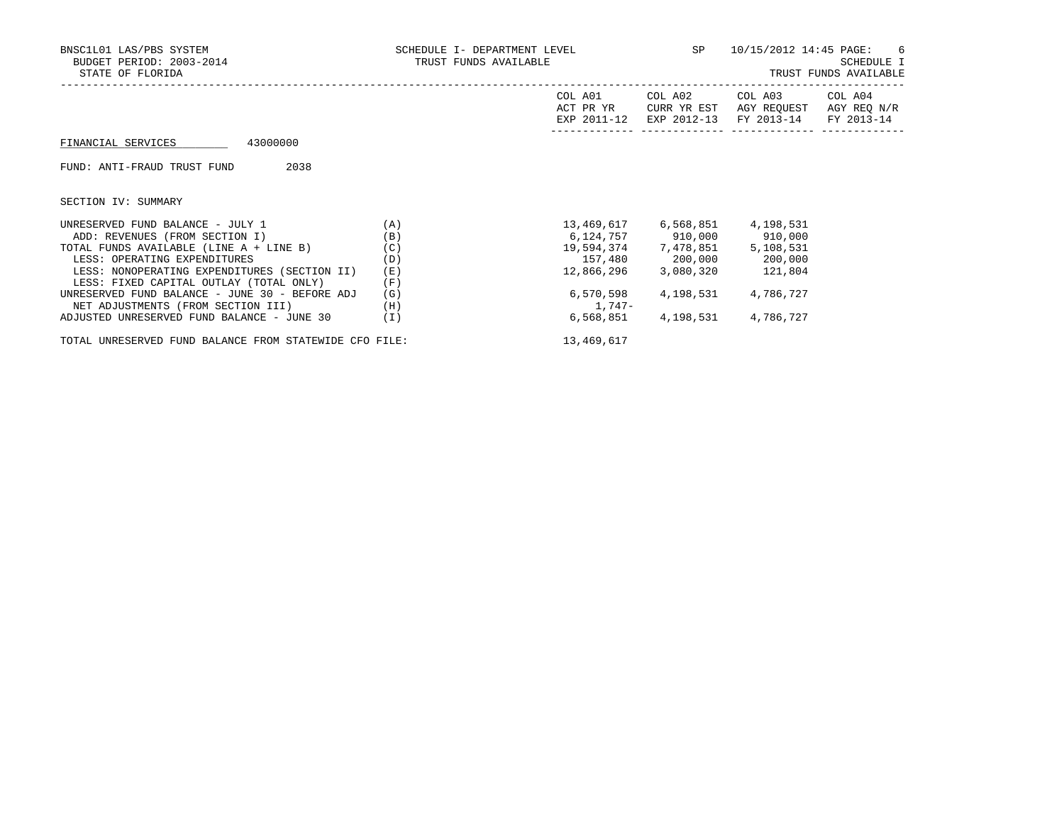| BNSC1L01 LAS/PBS SYSTEM<br>BUDGET PERIOD: 2003-2014<br>STATE OF FLORIDA | SCHEDULE I- DEPARTMENT LEVEL<br>TRUST FUNDS AVAILABLE |                                     | SP                                    | 10/15/2012 14:45 PAGE:                           | - 6<br>SCHEDULE I<br>TRUST FUNDS AVAILABLE |
|-------------------------------------------------------------------------|-------------------------------------------------------|-------------------------------------|---------------------------------------|--------------------------------------------------|--------------------------------------------|
|                                                                         |                                                       | COL A01<br>ACT PR YR<br>EXP 2011-12 | COL A02<br>CURR YR EST<br>EXP 2012-13 | COL A03<br>AGY REQUEST AGY REQ N/R<br>FY 2013-14 | COL A04<br>FY 2013-14                      |
| 43000000<br>FINANCIAL SERVICES                                          |                                                       |                                     |                                       |                                                  |                                            |
| 2038<br>FUND: ANTI-FRAUD TRUST FUND                                     |                                                       |                                     |                                       |                                                  |                                            |
| SECTION IV: SUMMARY                                                     |                                                       |                                     |                                       |                                                  |                                            |
| UNRESERVED FUND BALANCE - JULY 1                                        | (A)                                                   |                                     | 13,469,617 6,568,851                  | 4,198,531                                        |                                            |
| ADD: REVENUES (FROM SECTION I)                                          | (B)                                                   |                                     | 6,124,757 910,000 910,000             |                                                  |                                            |
| TOTAL FUNDS AVAILABLE (LINE A + LINE B)                                 | (C)                                                   |                                     | 19,594,374 7,478,851                  | 5,108,531                                        |                                            |
| LESS: OPERATING EXPENDITURES                                            | (D)                                                   |                                     | 157,480 200,000 200,000               |                                                  |                                            |
| LESS: NONOPERATING EXPENDITURES (SECTION II)                            | (E)                                                   | 12,866,296                          | 3,080,320                             | 121,804                                          |                                            |
| LESS: FIXED CAPITAL OUTLAY (TOTAL ONLY)                                 | (F)                                                   |                                     |                                       |                                                  |                                            |
| UNRESERVED FUND BALANCE - JUNE 30 - BEFORE ADJ                          | (G)                                                   | 6,570,598                           | 4,198,531                             | 4,786,727                                        |                                            |
| NET ADJUSTMENTS (FROM SECTION III)                                      | (H)                                                   | 1,747–                              |                                       |                                                  |                                            |
| ADJUSTED UNRESERVED FUND BALANCE - JUNE 30                              | (I)                                                   | 6,568,851                           | 4,198,531                             | 4,786,727                                        |                                            |

TOTAL UNRESERVED FUND BALANCE FROM STATEWIDE CFO FILE: 13,469,617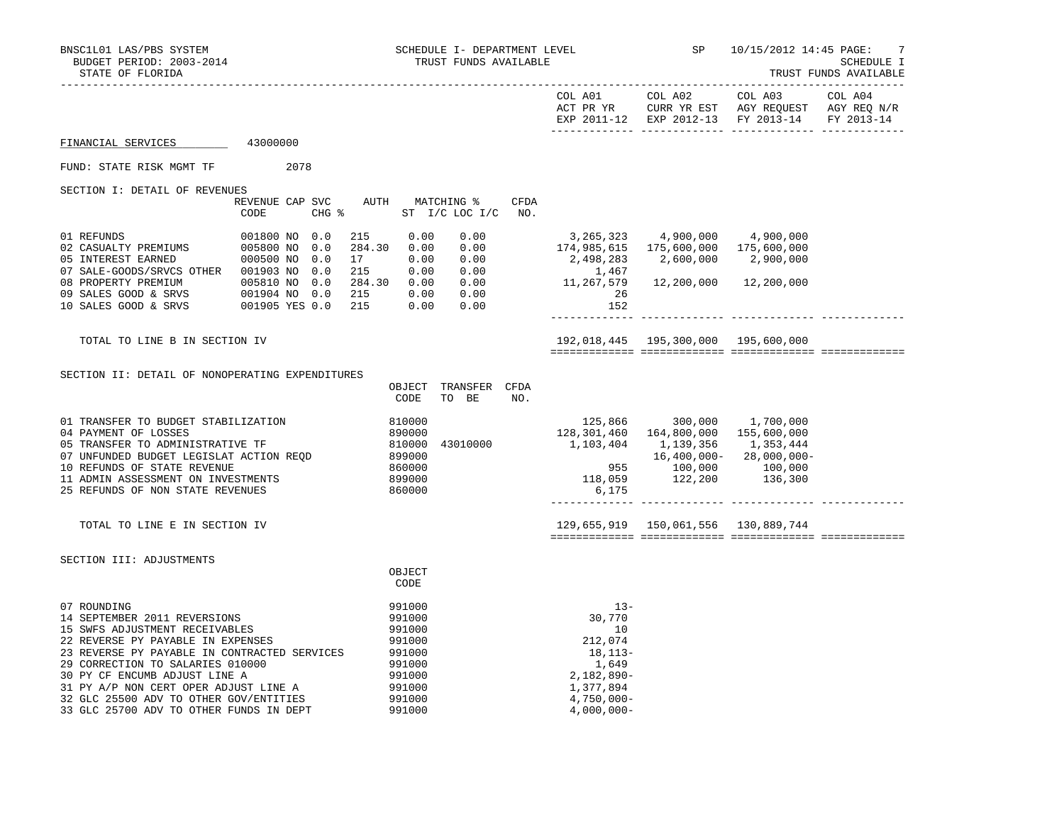| STATE OF FLORIDA                                                                                                                                             |                                                                                                  |                                 |                                                    |                                                      |                                                      |             |                                                                                       |                                                         |                                        | TRUST FUNDS AVAILABLE                |
|--------------------------------------------------------------------------------------------------------------------------------------------------------------|--------------------------------------------------------------------------------------------------|---------------------------------|----------------------------------------------------|------------------------------------------------------|------------------------------------------------------|-------------|---------------------------------------------------------------------------------------|---------------------------------------------------------|----------------------------------------|--------------------------------------|
|                                                                                                                                                              |                                                                                                  |                                 |                                                    |                                                      |                                                      |             | EXP 2011-12                                                                           | COL A01 COL A02<br>ACT PR YR CURR YR EST<br>EXP 2012-13 | COL A03<br>AGY REOUEST<br>FY 2013-14   | COL A04<br>AGY REO N/R<br>FY 2013-14 |
| FINANCIAL SERVICES                                                                                                                                           | 43000000                                                                                         |                                 |                                                    |                                                      |                                                      |             |                                                                                       |                                                         |                                        |                                      |
| FUND: STATE RISK MGMT TF                                                                                                                                     | 2078                                                                                             |                                 |                                                    |                                                      |                                                      |             |                                                                                       |                                                         |                                        |                                      |
| SECTION I: DETAIL OF REVENUES                                                                                                                                | REVENUE CAP SVC<br><b>CODE</b>                                                                   | CHG %                           | AUTH                                               | MATCHING %                                           | ST $I/C$ LOC $I/C$                                   | CFDA<br>NO. |                                                                                       |                                                         |                                        |                                      |
| 01 REFUNDS<br>02 CASUALTY PREMIUMS<br>05 INTEREST EARNED<br>07 SALE-GOODS/SRVCS OTHER<br>08 PROPERTY PREMIUM<br>09 SALES GOOD & SRVS<br>10 SALES GOOD & SRVS | 001800 NO<br>005800 NO<br>000500 NO<br>001903 NO<br>005810 NO<br>001904 NO 0.0<br>001905 YES 0.0 | 0.0<br>0.0<br>0.0<br>0.0<br>0.0 | 215<br>284.30<br>17<br>215<br>284.30<br>215<br>215 | 0.00<br>0.00<br>0.00<br>0.00<br>0.00<br>0.00<br>0.00 | 0.00<br>0.00<br>0.00<br>0.00<br>0.00<br>0.00<br>0.00 |             | $3,265,323$ $4,900,000$ $4,900,000$<br>174,985,615<br>2,498,283<br>1,467<br>26<br>152 | 175,600,000<br>2,600,000<br>11,267,579    12,200,000    | 175,600,000<br>2,900,000<br>12,200,000 |                                      |
| TOTAL TO LINE B IN SECTION IV                                                                                                                                |                                                                                                  |                                 |                                                    |                                                      |                                                      |             |                                                                                       | 192,018,445 195,300,000 195,600,000                     |                                        |                                      |

| 810000<br>300,000<br>1,700,000<br>01 TRANSFER TO BUDGET STABILIZATION<br>125,866<br>890000<br>164,800,000<br>155,600,000<br>128,301,460<br>04 PAYMENT OF LOSSES<br>810000<br>05 TRANSFER TO ADMINISTRATIVE TF<br>43010000<br>1,103,404<br>1,139,356<br>1,353,444<br>07 UNFUNDED BUDGET LEGISLAT ACTION REOD<br>899000<br>$16,400,000 -$<br>$28,000,000-$<br>860000<br>955<br>100,000<br>100,000<br>10 REFUNDS OF STATE REVENUE<br>899000<br>118,059<br>122,200<br>136,300<br>11 ADMIN ASSESSMENT ON INVESTMENTS |                                  | U DU LI U<br>CODE | TIATING T. TIL<br>BE<br>TO | UIDA<br>NO. |       |  |  |
|-----------------------------------------------------------------------------------------------------------------------------------------------------------------------------------------------------------------------------------------------------------------------------------------------------------------------------------------------------------------------------------------------------------------------------------------------------------------------------------------------------------------|----------------------------------|-------------------|----------------------------|-------------|-------|--|--|
|                                                                                                                                                                                                                                                                                                                                                                                                                                                                                                                 |                                  |                   |                            |             |       |  |  |
|                                                                                                                                                                                                                                                                                                                                                                                                                                                                                                                 | 25 REFUNDS OF NON STATE REVENUES | 860000            |                            |             | 6,175 |  |  |

TOTAL TO LINE E IN SECTION IV 129,655,919 150,061,556 130,889,744

============= ============= ============= =============

SECTION III: ADJUSTMENTS

|                                              | OBJECT |               |
|----------------------------------------------|--------|---------------|
|                                              | CODE   |               |
| 07 ROUNDING                                  | 991000 | $13 -$        |
|                                              |        |               |
| 14 SEPTEMBER 2011 REVERSIONS                 | 991000 | 30,770        |
| 15 SWFS ADJUSTMENT RECEIVABLES               | 991000 | 10            |
| 22 REVERSE PY PAYABLE IN EXPENSES            | 991000 | 212,074       |
| 23 REVERSE PY PAYABLE IN CONTRACTED SERVICES | 991000 | $18, 113 -$   |
| 29 CORRECTION TO SALARIES 010000             | 991000 | 1,649         |
| 30 PY CF ENCUMB ADJUST LINE A                | 991000 | $2,182,890-$  |
| 31 PY A/P NON CERT OPER ADJUST LINE A        | 991000 | 1,377,894     |
| 32 GLC 25500 ADV TO OTHER GOV/ENTITIES       | 991000 | $4,750,000 -$ |
| 33 GLC 25700 ADV TO OTHER FUNDS IN DEPT      | 991000 | $4,000,000-$  |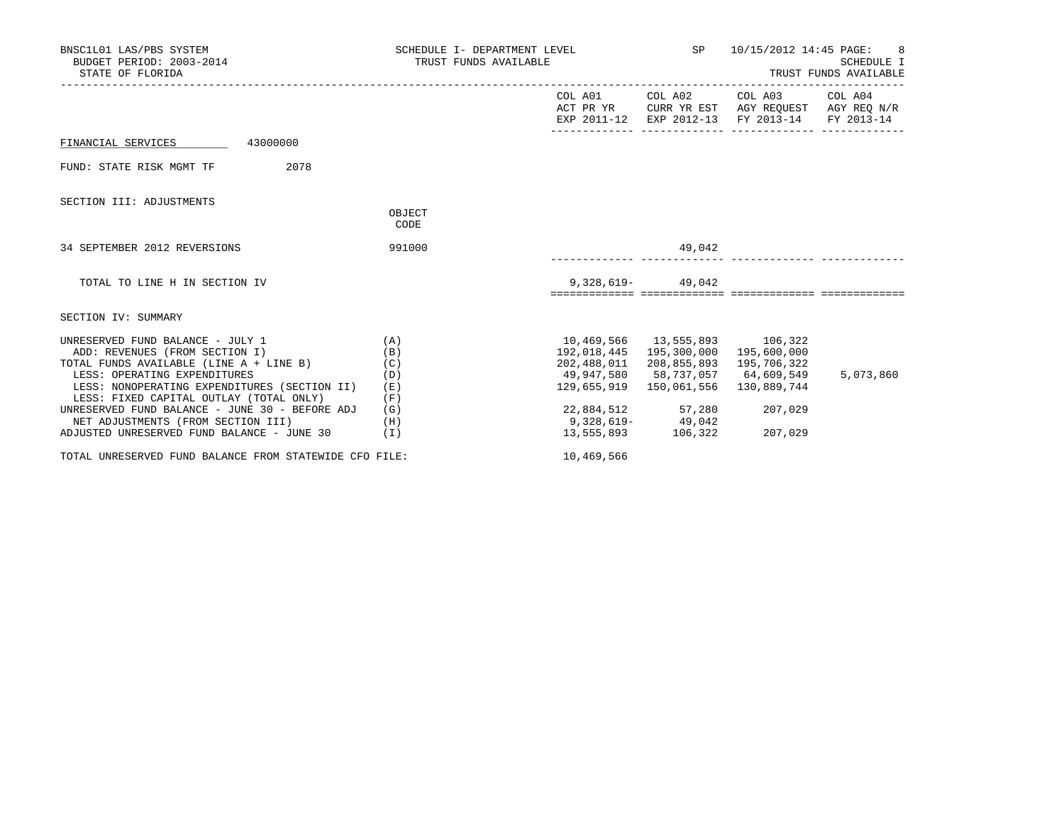| BNSC1L01 LAS/PBS SYSTEM<br>BUDGET PERIOD: 2003-2014<br>STATE OF FLORIDA                                                                                                                                                                                                                               | SCHEDULE I- DEPARTMENT LEVEL SP $10/15/2012$ 14:45 PAGE: 8<br>TRUST FUNDS AVAILABLE |                                                                   |                                                                                              |                                                                                                                                   | SCHEDULE I<br>TRUST FUNDS AVAILABLE |
|-------------------------------------------------------------------------------------------------------------------------------------------------------------------------------------------------------------------------------------------------------------------------------------------------------|-------------------------------------------------------------------------------------|-------------------------------------------------------------------|----------------------------------------------------------------------------------------------|-----------------------------------------------------------------------------------------------------------------------------------|-------------------------------------|
|                                                                                                                                                                                                                                                                                                       |                                                                                     |                                                                   |                                                                                              | COL A01 COL A02 COL A03 COL A04<br>ACT PR YR CURR YR EST AGY REOUEST AGY REO N/R<br>EXP 2011-12 EXP 2012-13 FY 2013-14 FY 2013-14 |                                     |
| FINANCIAL SERVICES 43000000                                                                                                                                                                                                                                                                           |                                                                                     |                                                                   |                                                                                              |                                                                                                                                   |                                     |
| 2078<br>FUND: STATE RISK MGMT TF                                                                                                                                                                                                                                                                      |                                                                                     |                                                                   |                                                                                              |                                                                                                                                   |                                     |
| SECTION III: ADJUSTMENTS                                                                                                                                                                                                                                                                              |                                                                                     |                                                                   |                                                                                              |                                                                                                                                   |                                     |
|                                                                                                                                                                                                                                                                                                       | OBJECT<br>CODE                                                                      |                                                                   |                                                                                              |                                                                                                                                   |                                     |
| 34 SEPTEMBER 2012 REVERSIONS                                                                                                                                                                                                                                                                          | 991000                                                                              |                                                                   | 49,042                                                                                       |                                                                                                                                   |                                     |
| TOTAL TO LINE H IN SECTION IV                                                                                                                                                                                                                                                                         |                                                                                     |                                                                   | $9,328,619 - 49,042$                                                                         |                                                                                                                                   |                                     |
| SECTION IV: SUMMARY                                                                                                                                                                                                                                                                                   |                                                                                     |                                                                   |                                                                                              |                                                                                                                                   |                                     |
| UNRESERVED FUND BALANCE - JULY 1<br>(A)<br>ADD: REVENUES (FROM SECTION I)<br>TOTAL FUNDS AVAILABLE (LINE A + LINE B) (C)<br>LESS: OPERATING EXPENDITURES<br>LESS: NONOPERATING EXPENDITURES (SECTION II)<br>LESS: FIXED CAPITAL OUTLAY (TOTAL ONLY)<br>UNRESERVED FUND BALANCE - JUNE 30 - BEFORE ADJ | (B)<br>(D)<br>(E)<br>(F)<br>(G)                                                     | 10,469,566 13,555,893 106,322<br>49,947,580 58,737,057 64,609,549 | 192,018,445 195,300,000<br>129,655,919  150,061,556<br>22,884,512 57,280                     | 195,600,000<br>202,488,011 208,855,893 195,706,322<br>130,889,744<br>207,029                                                      | 5,073,860                           |
| NET ADJUSTMENTS (FROM SECTION III)<br>ADJUSTED UNRESERVED FUND BALANCE - JUNE 30                                                                                                                                                                                                                      | (H)<br>(I)                                                                          |                                                                   | $\begin{array}{ccc}\n & 9,328,619 - & 49,042 \\ 13,555,893 & 106,322 & 207,029\n\end{array}$ |                                                                                                                                   |                                     |
| TOTAL UNRESERVED FUND BALANCE FROM STATEWIDE CFO FILE:                                                                                                                                                                                                                                                |                                                                                     | 10,469,566                                                        |                                                                                              |                                                                                                                                   |                                     |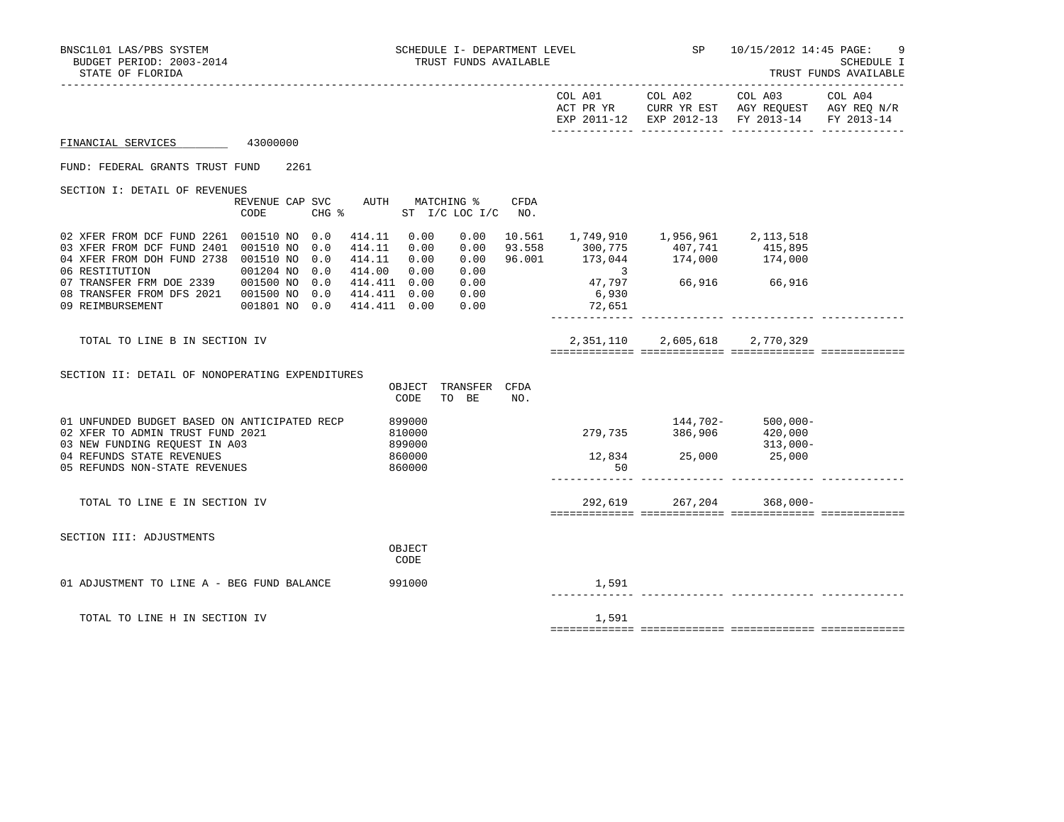|                                                                                                                                                                                                                                                                             |                                             |                                                                                                           |             |                                       | EXP 2011-12 EXP 2012-13 FY 2013-14 FY 2013-14                                                                                                                                                          |  |
|-----------------------------------------------------------------------------------------------------------------------------------------------------------------------------------------------------------------------------------------------------------------------------|---------------------------------------------|-----------------------------------------------------------------------------------------------------------|-------------|---------------------------------------|--------------------------------------------------------------------------------------------------------------------------------------------------------------------------------------------------------|--|
| FINANCIAL SERVICES                                                                                                                                                                                                                                                          | 43000000                                    |                                                                                                           |             |                                       |                                                                                                                                                                                                        |  |
| FUND: FEDERAL GRANTS TRUST FUND                                                                                                                                                                                                                                             | 2261                                        |                                                                                                           |             |                                       |                                                                                                                                                                                                        |  |
| SECTION I: DETAIL OF REVENUES                                                                                                                                                                                                                                               | REVENUE CAP SVC AUTH MATCHING %<br>CODE     | CHG $\frac{1}{2}$ ST I/C LOC I/C NO.                                                                      | <b>CFDA</b> |                                       |                                                                                                                                                                                                        |  |
| 02 XFER FROM DCF FUND 2261 001510 NO 0.0<br>03 XFER FROM DCF FUND 2401 001510 NO 0.0<br>04 XFER FROM DOH FUND 2738 001510 NO 0.0<br>06 RESTITUTION<br>07 TRANSFER FRM DOE 2339 001500 NO 0.0<br>08 TRANSFER FROM DFS 2021  001500 NO 0.0  414.411  0.00<br>09 REIMBURSEMENT | 001204 NO 0.0<br>001801 NO 0.0 414.411 0.00 | 414.11 0.00<br>414.11 0.00<br>414.11  0.00<br>414.00 0.00<br>0.00<br>414.411 0.00<br>0.00<br>0.00<br>0.00 |             | $\sim$ 3<br>47,797<br>6,930<br>72,651 | $\begin{array}{cccccccc} 0.00 & 10.561 & 1,749,910 & 1,956,961 & 2,113,518 \\ 0.00 & 93.558 & 300,775 & 407,741 & 415,895 \\ 0.00 & 96.001 & 173,044 & 174,000 & 174,000 \end{array}$<br>66,916 66,916 |  |
| TOTAL TO LINE B IN SECTION IV                                                                                                                                                                                                                                               |                                             |                                                                                                           |             |                                       | 2,351,110 2,605,618 2,770,329                                                                                                                                                                          |  |
| SECTION II: DETAIL OF NONOPERATING EXPENDITURES                                                                                                                                                                                                                             |                                             | OBJECT<br>TRANSFER CFDA<br>TO BE<br>CODE                                                                  | NO.         |                                       |                                                                                                                                                                                                        |  |
| 01 UNFUNDED BUDGET BASED ON ANTICIPATED RECP<br>02 XFER TO ADMIN TRUST FUND 2021<br>03 NEW FUNDING REQUEST IN A03<br>04 REFUNDS STATE REVENUES<br>05 REFUNDS NON-STATE REVENUES                                                                                             |                                             | 899000<br>810000<br>899000<br>860000<br>860000                                                            |             | 50                                    | $144,702-500,000-$<br>279,735 386,906 420,000<br>$313,000-$<br>$12,834$<br>$25,000$<br>$25,000$                                                                                                        |  |
| TOTAL TO LINE E IN SECTION IV                                                                                                                                                                                                                                               |                                             |                                                                                                           |             |                                       | 292,619 267,204 368,000-                                                                                                                                                                               |  |
| SECTION III: ADJUSTMENTS                                                                                                                                                                                                                                                    |                                             | OBJECT<br>CODE                                                                                            |             |                                       |                                                                                                                                                                                                        |  |
| 01 ADJUSTMENT TO LINE A - BEG FUND BALANCE                                                                                                                                                                                                                                  |                                             | 991000                                                                                                    |             | 1,591                                 |                                                                                                                                                                                                        |  |
| TOTAL TO LINE H IN SECTION IV                                                                                                                                                                                                                                               |                                             |                                                                                                           |             | 1,591                                 |                                                                                                                                                                                                        |  |
|                                                                                                                                                                                                                                                                             |                                             |                                                                                                           |             |                                       |                                                                                                                                                                                                        |  |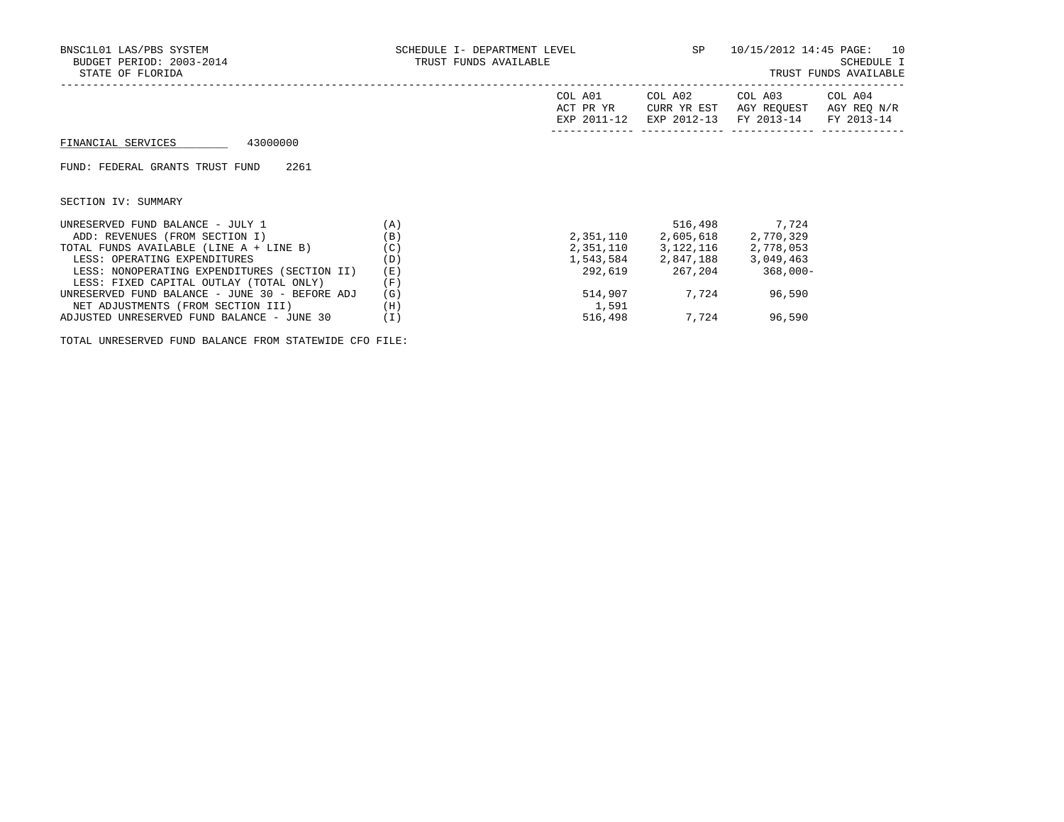| BNSC1L01 LAS/PBS SYSTEM<br>BUDGET PERIOD: 2003-2014<br>STATE OF FLORIDA | SCHEDULE I- DEPARTMENT LEVEL<br>TRUST FUNDS AVAILABLE | SP                                  | 10/15/2012 14:45 PAGE: 10<br>SCHEDULE I<br>TRUST FUNDS AVAILABLE |                                      |                                      |
|-------------------------------------------------------------------------|-------------------------------------------------------|-------------------------------------|------------------------------------------------------------------|--------------------------------------|--------------------------------------|
|                                                                         |                                                       | COL A01<br>ACT PR YR<br>EXP 2011-12 | COL A02<br>CURR YR EST<br>EXP 2012-13                            | COL A03<br>AGY REOUEST<br>FY 2013-14 | COL A04<br>AGY REQ N/R<br>FY 2013-14 |
| 43000000<br>FINANCIAL SERVICES                                          |                                                       |                                     |                                                                  |                                      |                                      |
| FUND: FEDERAL GRANTS TRUST FUND<br>2261                                 |                                                       |                                     |                                                                  |                                      |                                      |
| SECTION IV: SUMMARY                                                     |                                                       |                                     |                                                                  |                                      |                                      |
| UNRESERVED FUND BALANCE - JULY 1                                        | (A)                                                   |                                     | 516,498                                                          | 7,724                                |                                      |
| ADD: REVENUES (FROM SECTION I)                                          | (B)                                                   | 2,351,110                           | 2,605,618                                                        | 2,770,329                            |                                      |
| TOTAL FUNDS AVAILABLE (LINE A + LINE B)                                 | (C)                                                   |                                     | 2,351,110 3,122,116                                              | 2,778,053                            |                                      |
| LESS: OPERATING EXPENDITURES                                            | (D)                                                   |                                     | 1,543,584 2,847,188                                              | 3,049,463                            |                                      |
| LESS: NONOPERATING EXPENDITURES (SECTION II)                            | (E)                                                   | 292,619                             | 267,204                                                          | $368,000-$                           |                                      |
| LESS: FIXED CAPITAL OUTLAY (TOTAL ONLY)                                 | (F)                                                   |                                     |                                                                  |                                      |                                      |
| UNRESERVED FUND BALANCE - JUNE 30 - BEFORE ADJ                          | (G)                                                   | 514,907                             | 7,724                                                            | 96,590                               |                                      |
| NET ADJUSTMENTS (FROM SECTION III)                                      | (H)                                                   | 1,591                               |                                                                  |                                      |                                      |

ADJUSTED UNRESERVED FUND BALANCE - JUNE 30 (I) 516,498 7,724 96,590

TOTAL UNRESERVED FUND BALANCE FROM STATEWIDE CFO FILE: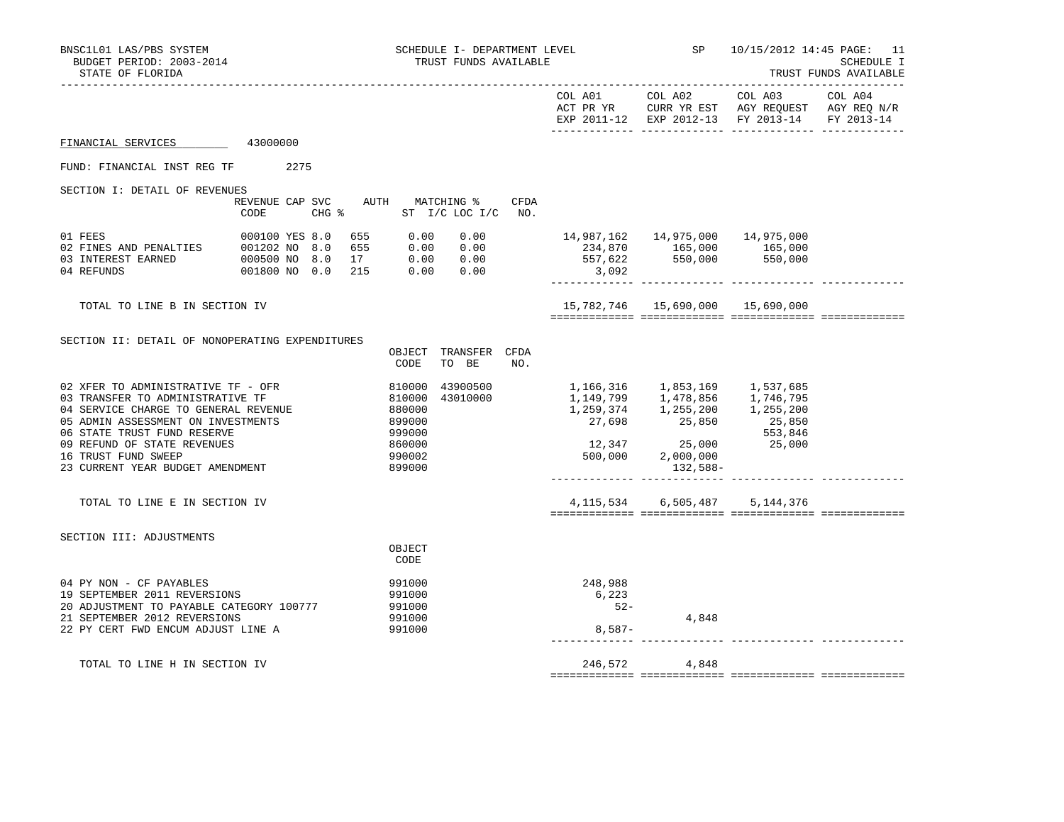| BNSC1L01 LAS/PBS SYSTEM<br>BUDGET PERIOD: 2003-2014<br>STATE OF FLORIDA                                                                                                                                                                                                       |          |  |                                                                                                                                                                                                   | SCHEDULE I- DEPARTMENT LEVEL<br>TRUST FUNDS AVAILABLE              |                               |      |                                      | SP <sub>3</sub>         | 10/15/2012 14:45 PAGE: 11<br>SCHEDULE I<br>TRUST FUNDS AVAILABLE                                                  |  |  |
|-------------------------------------------------------------------------------------------------------------------------------------------------------------------------------------------------------------------------------------------------------------------------------|----------|--|---------------------------------------------------------------------------------------------------------------------------------------------------------------------------------------------------|--------------------------------------------------------------------|-------------------------------|------|--------------------------------------|-------------------------|-------------------------------------------------------------------------------------------------------------------|--|--|
|                                                                                                                                                                                                                                                                               |          |  |                                                                                                                                                                                                   |                                                                    |                               |      |                                      | COL A01 COL A02         | COL A03 COL A04<br>ACT PR YR CURR YR EST AGY REQUEST AGY REQ N/R<br>EXP 2011-12 EXP 2012-13 FY 2013-14 FY 2013-14 |  |  |
| FINANCIAL SERVICES                                                                                                                                                                                                                                                            | 43000000 |  |                                                                                                                                                                                                   |                                                                    |                               |      |                                      |                         |                                                                                                                   |  |  |
| FUND: FINANCIAL INST REG TF 2275                                                                                                                                                                                                                                              |          |  |                                                                                                                                                                                                   |                                                                    |                               |      |                                      |                         |                                                                                                                   |  |  |
| SECTION I: DETAIL OF REVENUES                                                                                                                                                                                                                                                 | CODE     |  | REVENUE CAP SVC AUTH MATCHING %<br>CHG % ST I/C LOC I/C NO.                                                                                                                                       |                                                                    |                               | CFDA |                                      |                         |                                                                                                                   |  |  |
| 01 FEES 000100 YES 8.0<br>02 FINES AND PENALTIES 001202 NO 8.0<br>03 INTEREST EARNED 000500 NO 8.0<br>04 REFUNDS                                                                                                                                                              |          |  | 655 0.00 0.00<br>$\begin{array}{cccccc} 0.01202 & \text{NO} & 8.0 & 655 & 0.00 & 0.00 \ 0.00500 & \text{NO} & 8.0 & 17 & 0.00 & 0.00 \ 0.01800 & \text{NO} & 0.0 & 215 & 0.00 & 0.00 \end{array}$ |                                                                    |                               |      | 3,092                                |                         | 234,870 165,000 165,000<br>557,622 550,000 550,000                                                                |  |  |
| TOTAL TO LINE B IN SECTION IV                                                                                                                                                                                                                                                 |          |  |                                                                                                                                                                                                   |                                                                    |                               |      |                                      |                         | 15,782,746  15,690,000  15,690,000                                                                                |  |  |
| SECTION II: DETAIL OF NONOPERATING EXPENDITURES                                                                                                                                                                                                                               |          |  |                                                                                                                                                                                                   | CODE                                                               | OBJECT TRANSFER CFDA<br>TO BE | NO.  |                                      |                         |                                                                                                                   |  |  |
| 02 XFER TO ADMINISTRATIVE TF - OFR<br>03 TRANSFER TO ADMINISTRATIVE TF<br>04 SERVICE CHARGE TO GENERAL REVENUE<br>05 ADMIN ASSESSMENT ON INVESTMENTS<br>06 STATE TRUST FUND RESERVE<br>09 REFUND OF STATE REVENUES<br>16 TRUST FUND SWEEP<br>23 CURRENT YEAR BUDGET AMENDMENT |          |  | 810000                                                                                                                                                                                            | 810000<br>880000<br>899000<br>999000<br>860000<br>990002<br>899000 | 43900500<br>43010000          |      | 1,166,316 1,853,169 1,537,685        | 132,588-                | 1,149,799 1,478,856 1,746,795<br>1,259,374 1,255,200 1,255,200<br>27,698 25,850 25,850<br>553,846<br>25,000       |  |  |
| TOTAL TO LINE E IN SECTION IV                                                                                                                                                                                                                                                 |          |  |                                                                                                                                                                                                   |                                                                    |                               |      |                                      | 4, 115, 534 6, 505, 487 | 5,144,376                                                                                                         |  |  |
| SECTION III: ADJUSTMENTS                                                                                                                                                                                                                                                      |          |  |                                                                                                                                                                                                   | OBJECT<br>CODE                                                     |                               |      |                                      |                         |                                                                                                                   |  |  |
| 04 PY NON - CF PAYABLES<br>19 SEPTEMBER 2011 REVERSIONS<br>20 ADJUSTMENT TO PAYABLE CATEGORY 100777<br>21 SEPTEMBER 2012 REVERSIONS<br>22 PY CERT FWD ENCUM ADJUST LINE A                                                                                                     |          |  |                                                                                                                                                                                                   | 991000<br>991000<br>991000<br>991000<br>991000                     |                               |      | 248,988<br>6,223<br>$52 -$<br>8,587- | 4,848                   |                                                                                                                   |  |  |
| TOTAL TO LINE H IN SECTION IV                                                                                                                                                                                                                                                 |          |  |                                                                                                                                                                                                   |                                                                    |                               |      |                                      | 246,572 4,848           |                                                                                                                   |  |  |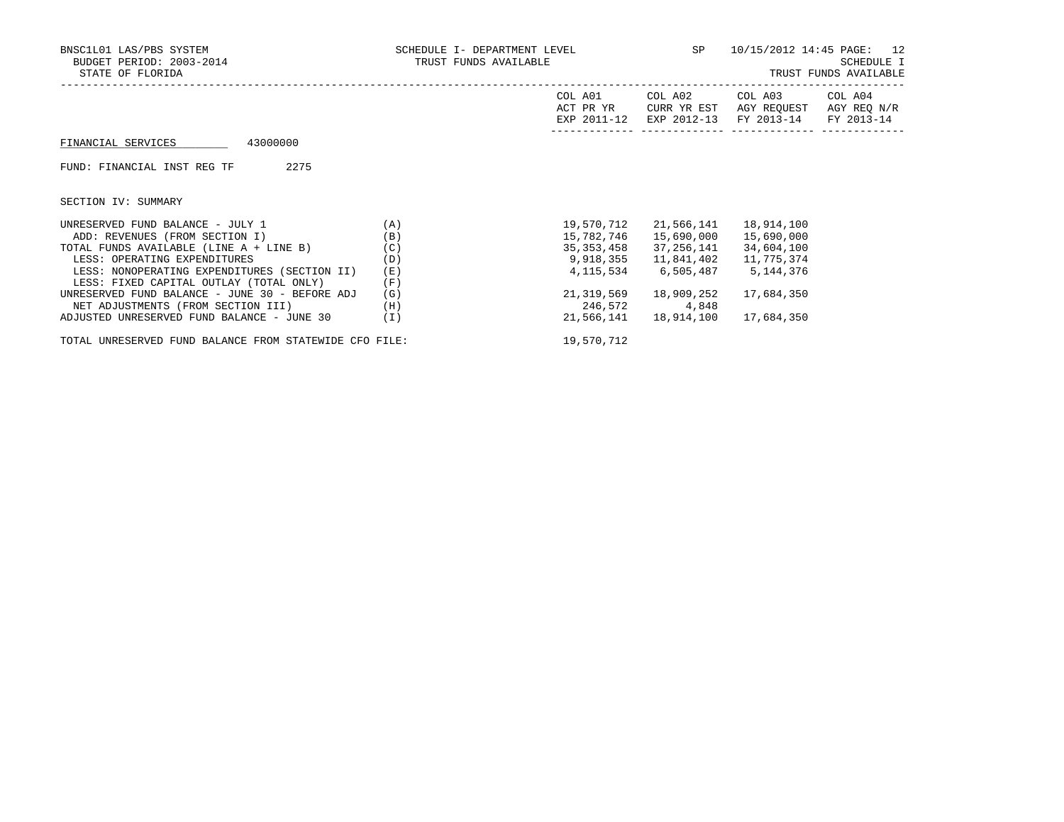|     | SP                   | 10/15/2012 14:45 PAGE: 12<br>SCHEDULE I<br>TRUST FUNDS AVAILABLE   |                          |                                                                                                                                                                                                                                                       |
|-----|----------------------|--------------------------------------------------------------------|--------------------------|-------------------------------------------------------------------------------------------------------------------------------------------------------------------------------------------------------------------------------------------------------|
|     | COL A01<br>ACT PR YR |                                                                    |                          | COL A04<br>AGY REQ N/R                                                                                                                                                                                                                                |
|     |                      |                                                                    |                          |                                                                                                                                                                                                                                                       |
|     |                      |                                                                    |                          |                                                                                                                                                                                                                                                       |
|     |                      |                                                                    |                          |                                                                                                                                                                                                                                                       |
| (A) |                      |                                                                    | 18,914,100               |                                                                                                                                                                                                                                                       |
| (B) |                      |                                                                    | 15,690,000               |                                                                                                                                                                                                                                                       |
| (C) |                      |                                                                    |                          |                                                                                                                                                                                                                                                       |
| (D) |                      |                                                                    | 11,775,374               |                                                                                                                                                                                                                                                       |
| (E) |                      |                                                                    |                          |                                                                                                                                                                                                                                                       |
| (F) |                      |                                                                    |                          |                                                                                                                                                                                                                                                       |
| (G) |                      |                                                                    | 17,684,350               |                                                                                                                                                                                                                                                       |
| (H) | 246,572              | 4,848                                                              |                          |                                                                                                                                                                                                                                                       |
|     |                      | SCHEDULE I- DEPARTMENT LEVEL<br>TRUST FUNDS AVAILABLE<br>9,918,355 | 19,570,712<br>15,782,746 | COL A02<br>COL A03<br>AGY REOUEST<br>CURR YR EST<br>EXP 2011-12 EXP 2012-13 FY 2013-14 FY 2013-14<br>21,566,141<br>15,690,000<br>35, 353, 458 37, 256, 141 34, 604, 100<br>11,841,402<br>4, 115, 534 6, 505, 487 5, 144, 376<br>21,319,569 18,909,252 |

ADJUSTED UNRESERVED FUND BALANCE - JUNE 30 (I) 21,566,141 18,914,100 17,684,350

TOTAL UNRESERVED FUND BALANCE FROM STATEWIDE CFO FILE: 19,570,712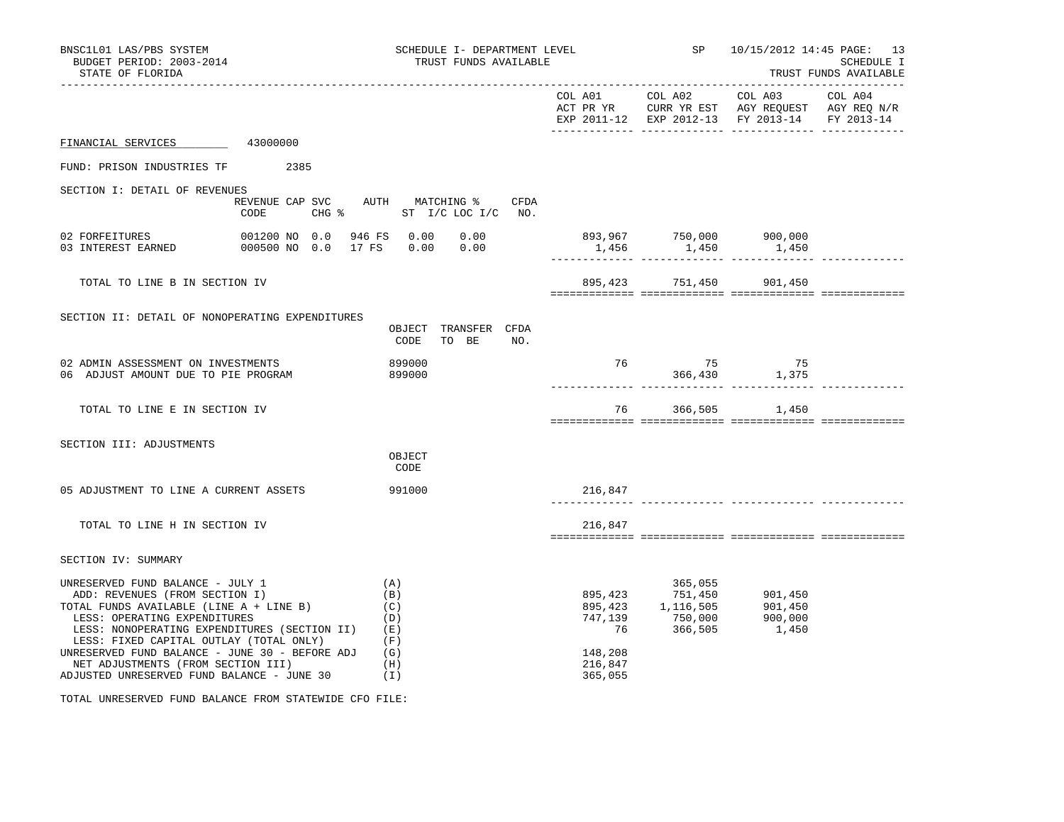| BNSC1L01 LAS/PBS SYSTEM<br>BUDGET PERIOD: 2003-2014<br>STATE OF FLORIDA                                                                                                                                                                                                                                                                                                        |                                                            | SCHEDULE I- DEPARTMENT LEVEL<br>TRUST FUNDS AVAILABLE            |                                         |                                                                 | SP 10/15/2012 14:45 PAGE: 13<br>SCHEDULE I<br>TRUST FUNDS AVAILABLE |  |  |
|--------------------------------------------------------------------------------------------------------------------------------------------------------------------------------------------------------------------------------------------------------------------------------------------------------------------------------------------------------------------------------|------------------------------------------------------------|------------------------------------------------------------------|-----------------------------------------|-----------------------------------------------------------------|---------------------------------------------------------------------|--|--|
|                                                                                                                                                                                                                                                                                                                                                                                |                                                            |                                                                  |                                         |                                                                 | EXP 2011-12 EXP 2012-13 FY 2013-14 FY 2013-14                       |  |  |
| FINANCIAL SERVICES 43000000                                                                                                                                                                                                                                                                                                                                                    |                                                            |                                                                  |                                         |                                                                 |                                                                     |  |  |
| FUND: PRISON INDUSTRIES TF 2385                                                                                                                                                                                                                                                                                                                                                |                                                            |                                                                  |                                         |                                                                 |                                                                     |  |  |
| SECTION I: DETAIL OF REVENUES                                                                                                                                                                                                                                                                                                                                                  | CODE                                                       | REVENUE CAP SVC AUTH MATCHING % CFDA<br>CHG % ST I/C LOC I/C NO. |                                         |                                                                 |                                                                     |  |  |
| 02 FORFEITURES<br>03 INTEREST EARNED                                                                                                                                                                                                                                                                                                                                           | 001200 NO 0.0 946 FS 0.00<br>000500 NO 0.0 17 FS 0.00 0.00 |                                                                  | $0.00$ 893,967 750,000 900,000<br>1,456 | 1,450                                                           | 1,450                                                               |  |  |
| TOTAL TO LINE B IN SECTION IV                                                                                                                                                                                                                                                                                                                                                  |                                                            |                                                                  |                                         | 895,423 751,450 901,450                                         |                                                                     |  |  |
| SECTION II: DETAIL OF NONOPERATING EXPENDITURES                                                                                                                                                                                                                                                                                                                                |                                                            | OBJECT TRANSFER CFDA<br>CODE<br>TO BE<br>NO.                     |                                         |                                                                 |                                                                     |  |  |
| 02 ADMIN ASSESSMENT ON INVESTMENTS<br>06 ADJUST AMOUNT DUE TO PIE PROGRAM                                                                                                                                                                                                                                                                                                      |                                                            | 899000<br>899000                                                 |                                         |                                                                 | 76 75 75<br>366,430 1,375                                           |  |  |
| TOTAL TO LINE E IN SECTION IV                                                                                                                                                                                                                                                                                                                                                  |                                                            |                                                                  |                                         | 76 366,505 1,450                                                |                                                                     |  |  |
| SECTION III: ADJUSTMENTS                                                                                                                                                                                                                                                                                                                                                       |                                                            | OBJECT<br>CODE                                                   |                                         |                                                                 |                                                                     |  |  |
| 05 ADJUSTMENT TO LINE A CURRENT ASSETS 991000                                                                                                                                                                                                                                                                                                                                  |                                                            |                                                                  | 216,847                                 |                                                                 |                                                                     |  |  |
| TOTAL TO LINE H IN SECTION IV                                                                                                                                                                                                                                                                                                                                                  |                                                            |                                                                  | 216,847                                 |                                                                 |                                                                     |  |  |
| SECTION IV: SUMMARY                                                                                                                                                                                                                                                                                                                                                            |                                                            |                                                                  |                                         |                                                                 |                                                                     |  |  |
| UNRESERVED FUND BALANCE - JULY 1<br>ADD: REVENUES (FROM SECTION I)<br>TOTAL FUNDS AVAILABLE (LINE A + LINE B)<br>LESS: OPERATING EXPENDITURES<br>LESS: NONOPERATING EXPENDITURES (SECTION II)<br>LESS: FIXED CAPITAL OUTLAY (TOTAL ONLY)<br>UNRESERVED FUND BALANCE - JUNE 30 - BEFORE ADJ<br>NET ADJUSTMENTS (FROM SECTION III)<br>ADJUSTED UNRESERVED FUND BALANCE - JUNE 30 |                                                            | (A)<br>(B)<br>(C)<br>(D)<br>(E)<br>(F)<br>(G)<br>(H)<br>(I)      | 76<br>148,208<br>216,847<br>365,055     | 365,055<br>895,423<br>895,423<br>747,139<br>76<br>76<br>866,505 | 901,450<br>901,450<br>900,000<br>1,450                              |  |  |

TOTAL UNRESERVED FUND BALANCE FROM STATEWIDE CFO FILE: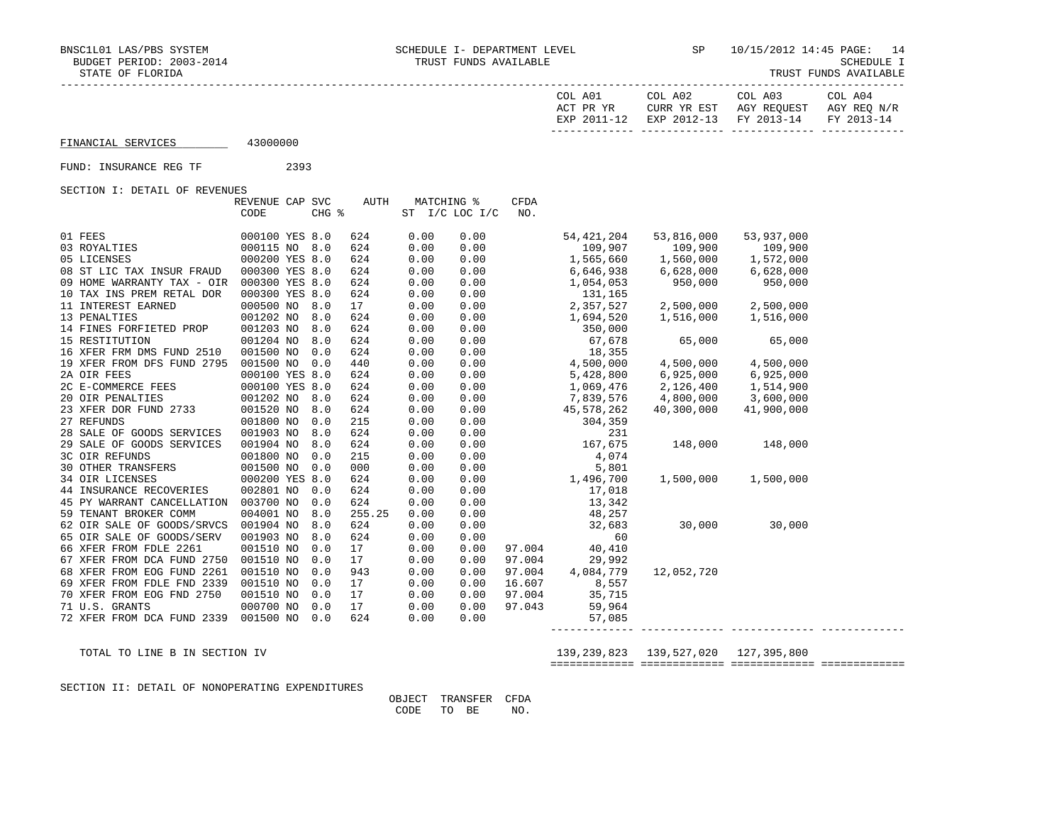| IRUSI FUNDS AVAILABLE |  |
|-----------------------|--|
|-----------------------|--|

|                                           |                         |      |       |        |      |                              |             |                                                                                                                                                                                                 | COL A01 COL A02 COL A03 COL A04<br>$\begin{tabular}{lllllllllll} \bf{ACT} & \bf{PR} & \bf{YR} & \bf{CURR} & \bf{YR} & \bf{EST} & \bf{AGY} & \bf{REQUEST} & \bf{AGY} & \bf{REQ} & \bf{N/R} \\ \bf{EXP} & \bf{2011-12} & \bf{EXP} & \bf{2012-13} & \bf{FY} & \bf{2013-14} & \bf{FY} & \bf{2013-14} \end{tabular}$ |                     |  |
|-------------------------------------------|-------------------------|------|-------|--------|------|------------------------------|-------------|-------------------------------------------------------------------------------------------------------------------------------------------------------------------------------------------------|-----------------------------------------------------------------------------------------------------------------------------------------------------------------------------------------------------------------------------------------------------------------------------------------------------------------|---------------------|--|
| FINANCIAL SERVICES 43000000               |                         |      |       |        |      |                              |             |                                                                                                                                                                                                 |                                                                                                                                                                                                                                                                                                                 |                     |  |
| FUND: INSURANCE REG TF                    |                         | 2393 |       |        |      |                              |             |                                                                                                                                                                                                 |                                                                                                                                                                                                                                                                                                                 |                     |  |
| SECTION I: DETAIL OF REVENUES             |                         |      |       |        |      |                              |             |                                                                                                                                                                                                 |                                                                                                                                                                                                                                                                                                                 |                     |  |
|                                           | REVENUE CAP SVC<br>CODE |      | CHG % | AUTH   |      | MATCHING %<br>ST I/C LOC I/C | CFDA<br>NO. |                                                                                                                                                                                                 |                                                                                                                                                                                                                                                                                                                 |                     |  |
| 01 FEES                                   | 000100 YES 8.0          |      |       | 624    | 0.00 | 0.00                         |             | 54,421,204                                                                                                                                                                                      | 53,816,000<br>$\begin{array}{cccccc} 0.00 & 54\,,421\,,204 & 53\,,816\,,000 & 53\,,937\,,000 \\ 0.00 & 109\,,907 & 109\,,900 & 109\,,900 \\ 0.00 & 1,555\,,666 & 1,560\,,000 & 1,572\,,000 \\ 0.00 & 6,646\,,938 & 6,628\,,000 & 6,628\,,000 \\ 0.00 & 1,054\,,053 & 950\,,000 & 950\,,000 \\ 0.00 &$           | 53,937,000          |  |
| 03 ROYALTIES<br>05 LICENSES               | 000115 NO 8.0           |      |       | 624    | 0.00 |                              |             |                                                                                                                                                                                                 |                                                                                                                                                                                                                                                                                                                 |                     |  |
| 05 LICENSES                               | 000200 YES 8.0          |      |       | 624    | 0.00 |                              |             |                                                                                                                                                                                                 |                                                                                                                                                                                                                                                                                                                 |                     |  |
| 08 ST LIC TAX INSUR FRAUD                 | 000300 YES 8.0          |      |       | 624    | 0.00 |                              |             |                                                                                                                                                                                                 |                                                                                                                                                                                                                                                                                                                 |                     |  |
| 09 HOME WARRANTY TAX - OIR 000300 YES 8.0 |                         |      |       | 624    | 0.00 |                              |             |                                                                                                                                                                                                 |                                                                                                                                                                                                                                                                                                                 |                     |  |
| 10 TAX INS PREM RETAL DOR                 | 000300 YES 8.0          |      |       | 624    | 0.00 |                              |             |                                                                                                                                                                                                 |                                                                                                                                                                                                                                                                                                                 |                     |  |
| 11 INTEREST EARNED                        | 000500 NO               |      | 8.0   | 17     | 0.00 |                              |             |                                                                                                                                                                                                 |                                                                                                                                                                                                                                                                                                                 |                     |  |
| 13 PENALTIES                              | 001202 NO               |      | 8.0   | 624    | 0.00 |                              |             |                                                                                                                                                                                                 |                                                                                                                                                                                                                                                                                                                 |                     |  |
| 14 FINES FORFIETED PROP                   | 001203 NO               |      | 8.0   | 624    | 0.00 |                              |             |                                                                                                                                                                                                 |                                                                                                                                                                                                                                                                                                                 |                     |  |
| 15 RESTITUTION                            | 001204 NO               |      | 8.0   | 624    | 0.00 |                              |             |                                                                                                                                                                                                 |                                                                                                                                                                                                                                                                                                                 |                     |  |
| 16 XFER FRM DMS FUND 2510                 | 001500 NO               |      | 0.0   | 624    | 0.00 |                              |             |                                                                                                                                                                                                 |                                                                                                                                                                                                                                                                                                                 |                     |  |
| 19 XFER FROM DFS FUND 2795 001500 NO      |                         |      | 0.0   | 440    | 0.00 |                              |             |                                                                                                                                                                                                 |                                                                                                                                                                                                                                                                                                                 |                     |  |
| 2A OIR FEES                               | 000100 YES 8.0          |      |       | 624    | 0.00 |                              |             |                                                                                                                                                                                                 |                                                                                                                                                                                                                                                                                                                 |                     |  |
| 2C E-COMMERCE FEES                        | 000100 YES 8.0          |      |       | 624    | 0.00 |                              |             |                                                                                                                                                                                                 |                                                                                                                                                                                                                                                                                                                 |                     |  |
| 20 OIR PENALTIES                          | 001202 NO               |      | 8.0   | 624    | 0.00 |                              |             |                                                                                                                                                                                                 |                                                                                                                                                                                                                                                                                                                 |                     |  |
| 23 XFER DOR FUND 2733                     | 001520 NO               |      | 8.0   | 624    | 0.00 |                              |             |                                                                                                                                                                                                 |                                                                                                                                                                                                                                                                                                                 |                     |  |
| 27 REFUNDS                                | 001800 NO               |      | 0.0   | 215    | 0.00 |                              |             |                                                                                                                                                                                                 |                                                                                                                                                                                                                                                                                                                 |                     |  |
| 28 SALE OF GOODS SERVICES                 | 001903 NO               |      | 8.0   | 624    | 0.00 |                              |             |                                                                                                                                                                                                 |                                                                                                                                                                                                                                                                                                                 |                     |  |
| 29 SALE OF GOODS SERVICES                 | 001904 NO               |      | 8.0   | 624    | 0.00 |                              |             |                                                                                                                                                                                                 | 148,000 148,000                                                                                                                                                                                                                                                                                                 |                     |  |
| 3C OIR REFUNDS                            | 001800 NO               |      | 0.0   | 215    | 0.00 |                              |             | $\begin{array}{cccc} 0.00 & & & & 1.7576782 \\ 0.00 & & & & 304,359 \\ 0.00 & & & & 231 \\ 0.00 & & & & 4,074 \\ 0.00 & & & & 5,801 \\ 0.00 & & & 1,496,700 \\ 0.00 & & & & 17,018 \end{array}$ |                                                                                                                                                                                                                                                                                                                 |                     |  |
| 30 OTHER TRANSFERS                        | 001500 NO               |      | 0.0   | 000    | 0.00 |                              |             |                                                                                                                                                                                                 |                                                                                                                                                                                                                                                                                                                 |                     |  |
| 34 OIR LICENSES                           | 000200 YES 8.0          |      |       | 624    | 0.00 |                              |             |                                                                                                                                                                                                 |                                                                                                                                                                                                                                                                                                                 | 1,500,000 1,500,000 |  |
| 44 INSURANCE RECOVERIES                   | 002801 NO               |      | 0.0   | 624    | 0.00 |                              |             |                                                                                                                                                                                                 |                                                                                                                                                                                                                                                                                                                 |                     |  |
| 45 PY WARRANT CANCELLATION 003700 NO      |                         |      | 0.0   | 624    | 0.00 | 0.00                         |             | 13, 342                                                                                                                                                                                         |                                                                                                                                                                                                                                                                                                                 |                     |  |
| 59 TENANT BROKER COMM                     | 004001 NO               |      | 8.0   | 255.25 | 0.00 | 0.00                         |             | 48,257                                                                                                                                                                                          |                                                                                                                                                                                                                                                                                                                 |                     |  |
| 62 OIR SALE OF GOODS/SRVCS                | 001904 NO               |      | 8.0   | 624    | 0.00 | 0.00                         |             | $\frac{10}{257}$                                                                                                                                                                                |                                                                                                                                                                                                                                                                                                                 | 30,000 30,000       |  |
| 65 OIR SALE OF GOODS/SERV                 | 001903 NO               |      | 8.0   | 624    | 0.00 | 0.00                         |             | 60                                                                                                                                                                                              |                                                                                                                                                                                                                                                                                                                 |                     |  |
| 66 XFER FROM FDLE 2261                    | 001510 NO               |      | 0.0   | 17     | 0.00 | 0.00                         | 97.004      | 40,410                                                                                                                                                                                          |                                                                                                                                                                                                                                                                                                                 |                     |  |
| 67 XFER FROM DCA FUND 2750                | 001510 NO               |      | 0.0   | 17     | 0.00 | 0.00                         | 97.004      | 29,992                                                                                                                                                                                          |                                                                                                                                                                                                                                                                                                                 |                     |  |
| 68 XFER FROM EOG FUND 2261                | 001510 NO               |      | 0.0   | 943    | 0.00 | 0.00                         | 97.004      | 4,084,779                                                                                                                                                                                       | 12,052,720                                                                                                                                                                                                                                                                                                      |                     |  |
| 69 XFER FROM FDLE FND 2339                | 001510 NO               |      | 0.0   | 17     | 0.00 | 0.00                         | 16.607      | 8,557                                                                                                                                                                                           |                                                                                                                                                                                                                                                                                                                 |                     |  |
| 70 XFER FROM EOG FND 2750                 | 001510 NO               |      | 0.0   | 17     | 0.00 | 0.00                         | 97.004      | 35,715                                                                                                                                                                                          |                                                                                                                                                                                                                                                                                                                 |                     |  |
| 71 U.S. GRANTS                            | 000700 NO               |      | 0.0   | 17     | 0.00 | 0.00                         | 97.043      | 59,964                                                                                                                                                                                          |                                                                                                                                                                                                                                                                                                                 |                     |  |
| 72 XFER FROM DCA FUND 2339 001500 NO 0.0  |                         |      |       | 624    | 0.00 | 0.00                         |             | 57,085                                                                                                                                                                                          |                                                                                                                                                                                                                                                                                                                 |                     |  |

 TOTAL TO LINE B IN SECTION IV 139,239,823 139,527,020 127,395,800 ============= ============= ============= =============

------------- ------------- ------------- -------------

SECTION II: DETAIL OF NONOPERATING EXPENDITURES

 OBJECT TRANSFER CFDA CODE TO BE NO.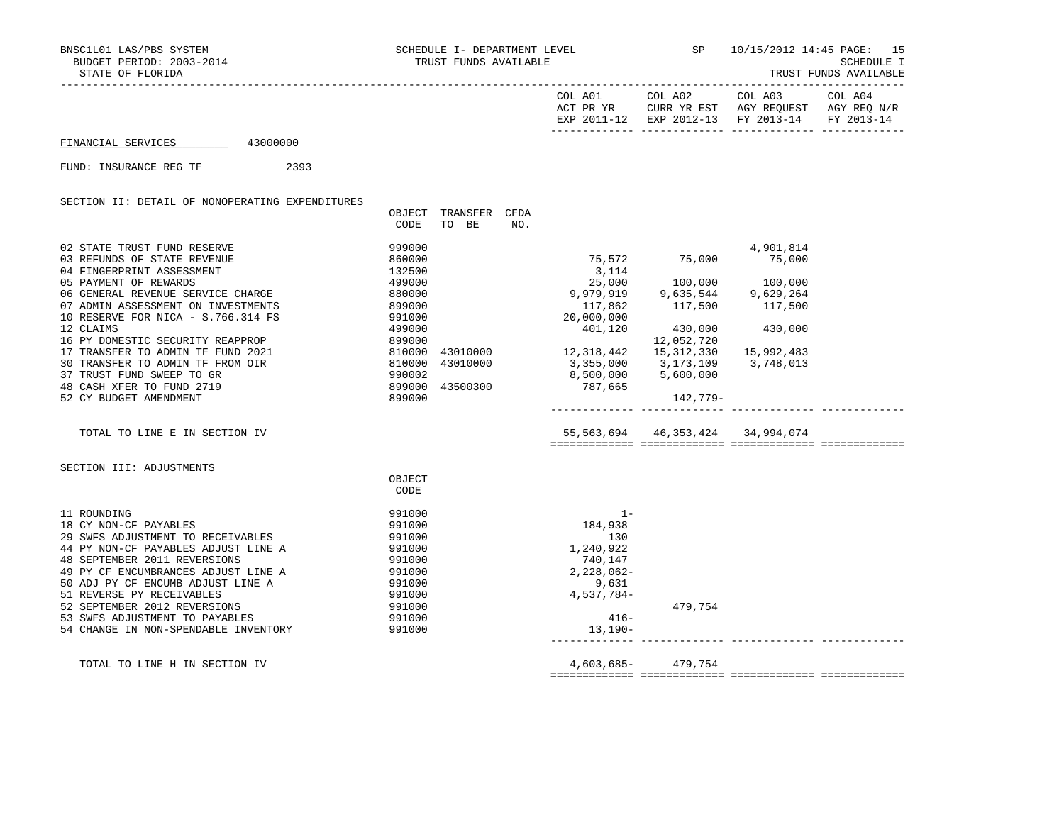|  |  | TRUST FUNDS AVAILABLE |
|--|--|-----------------------|
|--|--|-----------------------|

|                                                          |                                                                                                                                             |              |                                                                      | EXP 2011-12 EXP 2012-13 FY 2013-14 FY 2013-14 |  |
|----------------------------------------------------------|---------------------------------------------------------------------------------------------------------------------------------------------|--------------|----------------------------------------------------------------------|-----------------------------------------------|--|
| 43000000<br>FINANCIAL SERVICES                           |                                                                                                                                             |              |                                                                      |                                               |  |
| FUND: INSURANCE REG TF<br>2393                           |                                                                                                                                             |              |                                                                      |                                               |  |
| SECTION II: DETAIL OF NONOPERATING EXPENDITURES          |                                                                                                                                             |              |                                                                      |                                               |  |
|                                                          | OBJECT<br>TRANSFER CFDA<br>CODE<br>TO BE<br>NO.                                                                                             |              |                                                                      |                                               |  |
| 02 STATE TRUST FUND RESERVE                              | 999000                                                                                                                                      |              |                                                                      | 4,901,814                                     |  |
| 03 REFUNDS OF STATE REVENUE<br>04 FINGERPRINT ASSESSMENT | 860000<br>132500                                                                                                                            | 3,114        | $75,572$ $75,000$ $75,000$                                           |                                               |  |
| 05 PAYMENT OF REWARDS                                    | 499000                                                                                                                                      |              | $25,000$ 100,000 100,000                                             |                                               |  |
| 06 GENERAL REVENUE SERVICE CHARGE                        | 880000                                                                                                                                      |              | 9,979,919 9,635,544 9,629,264<br>9,629,264 9,629,264 117,862 117,862 |                                               |  |
| 07 ADMIN ASSESSMENT ON INVESTMENTS                       | 899000                                                                                                                                      |              |                                                                      |                                               |  |
| 10 RESERVE FOR NICA - S.766.314 FS                       | 991000                                                                                                                                      | 20,000,000   |                                                                      |                                               |  |
| 12 CLAIMS                                                | 499000                                                                                                                                      | 401,120      | 430,000                                                              | 430,000                                       |  |
| 16 PY DOMESTIC SECURITY REAPPROP                         | 899000                                                                                                                                      |              | 12,052,720                                                           |                                               |  |
| 17 TRANSFER TO ADMIN TF FUND 2021                        | 899000<br>810000 43010000 12,318,442 15,312,330<br>810000 43010000 3,355,000 3,173,109<br>990002 8,500,000 5,600,000<br>8,500,000 5,600,000 |              |                                                                      | 15,992,483                                    |  |
| 30 TRANSFER TO ADMIN TF FROM OIR                         |                                                                                                                                             |              |                                                                      | 3,748,013                                     |  |
| 37 TRUST FUND SWEEP TO GR                                |                                                                                                                                             |              |                                                                      |                                               |  |
| 48 CASH XFER TO FUND 2719<br>52 CY BUDGET AMENDMENT      | 899000<br>43500300                                                                                                                          | 787,665      |                                                                      |                                               |  |
|                                                          | 899000                                                                                                                                      |              | 142,779-                                                             |                                               |  |
| TOTAL TO LINE E IN SECTION IV                            |                                                                                                                                             |              | 55, 563, 694 46, 353, 424 34, 994, 074                               |                                               |  |
| SECTION III: ADJUSTMENTS                                 |                                                                                                                                             |              |                                                                      |                                               |  |
|                                                          | OBJECT<br>CODE                                                                                                                              |              |                                                                      |                                               |  |
|                                                          |                                                                                                                                             |              |                                                                      |                                               |  |
| 11 ROUNDING                                              | 991000                                                                                                                                      | $1 -$        |                                                                      |                                               |  |
| 18 CY NON-CF PAYABLES                                    | 991000                                                                                                                                      | 184,938      |                                                                      |                                               |  |
| 29 SWFS ADJUSTMENT TO RECEIVABLES                        | 991000                                                                                                                                      | 130          |                                                                      |                                               |  |
| 44 PY NON-CF PAYABLES ADJUST LINE A                      | 991000                                                                                                                                      | 1,240,922    |                                                                      |                                               |  |
| 48 SEPTEMBER 2011 REVERSIONS                             | 991000                                                                                                                                      | 740,147      |                                                                      |                                               |  |
| 49 PY CF ENCUMBRANCES ADJUST LINE A                      | 991000                                                                                                                                      | $2,228,062-$ |                                                                      |                                               |  |
| 50 ADJ PY CF ENCUMB ADJUST LINE A                        | 991000                                                                                                                                      | 9,631        |                                                                      |                                               |  |
| 51 REVERSE PY RECEIVABLES                                | 991000                                                                                                                                      | $4,537,784-$ |                                                                      |                                               |  |
| 52 SEPTEMBER 2012 REVERSIONS                             | 991000                                                                                                                                      |              | 479,754                                                              |                                               |  |
| 53 SWFS ADJUSTMENT TO PAYABLES                           | 991000                                                                                                                                      | $416-$       |                                                                      |                                               |  |
| 54 CHANGE IN NON-SPENDABLE INVENTORY                     | 991000                                                                                                                                      | 13,190-      |                                                                      |                                               |  |
|                                                          |                                                                                                                                             | 4,603,685-   | 479,754                                                              |                                               |  |
| TOTAL TO LINE H IN SECTION IV                            |                                                                                                                                             |              |                                                                      |                                               |  |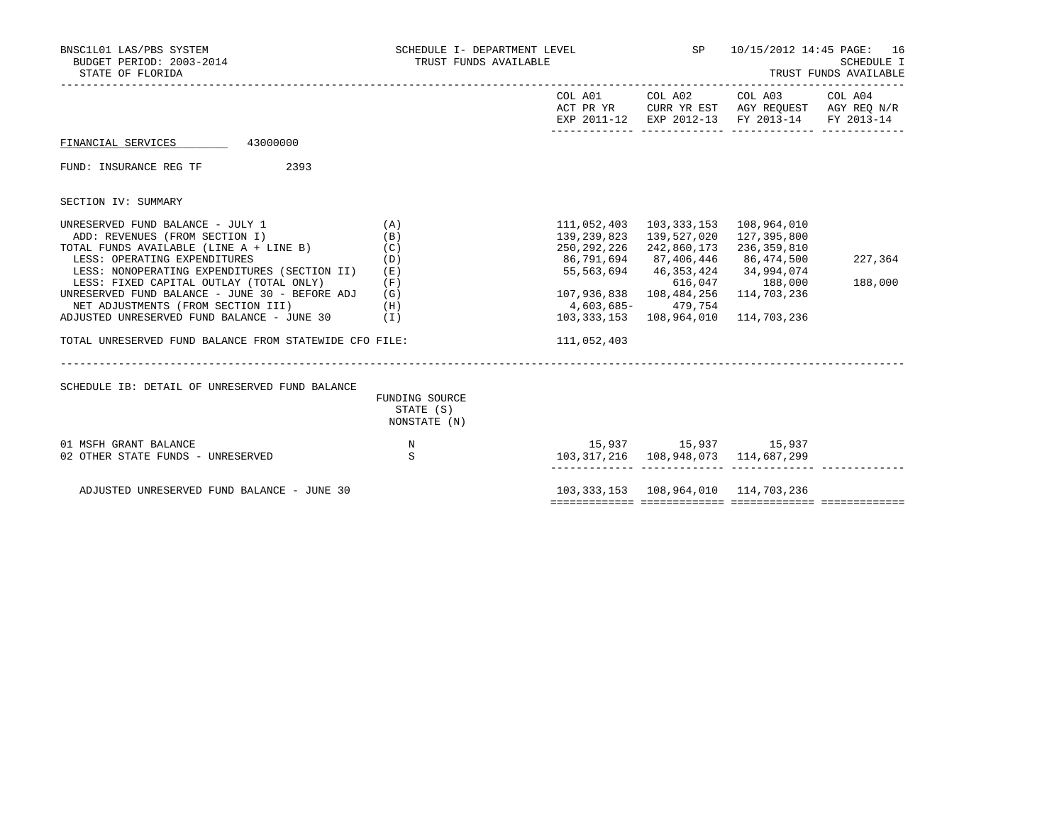| BNSC1L01 LAS/PBS SYSTEM<br>BUDGET PERIOD: 2003-2014<br>STATE OF FLORIDA | SCHEDULE I- DEPARTMENT LEVEL<br>TRUST FUNDS AVAILABLE |                       |                                           | SP 10/15/2012 14:45 PAGE: 16<br>SCHEDULE I<br>TRUST FUNDS AVAILABLE                                               |         |  |
|-------------------------------------------------------------------------|-------------------------------------------------------|-----------------------|-------------------------------------------|-------------------------------------------------------------------------------------------------------------------|---------|--|
|                                                                         |                                                       |                       | COL A01 COL A02                           | COL A03 COL A04<br>ACT PR YR CURR YR EST AGY REQUEST AGY REQ N/R<br>EXP 2011-12 EXP 2012-13 FY 2013-14 FY 2013-14 |         |  |
| 43000000<br>FINANCIAL SERVICES                                          |                                                       |                       |                                           |                                                                                                                   |         |  |
| FUND: INSURANCE REG TF<br>2393                                          |                                                       |                       |                                           |                                                                                                                   |         |  |
| SECTION IV: SUMMARY                                                     |                                                       |                       |                                           |                                                                                                                   |         |  |
| UNRESERVED FUND BALANCE - JULY 1                                        | (A)                                                   | 111,052,403           | 103,333,153   108,964,010                 |                                                                                                                   |         |  |
| ADD: REVENUES (FROM SECTION I)                                          | (B)                                                   | 139,239,823           | 139,527,020 127,395,800                   |                                                                                                                   |         |  |
| TOTAL FUNDS AVAILABLE (LINE A + LINE B)                                 | (C)                                                   | 250,292,226           | 242,860,173                               | 236,359,810                                                                                                       |         |  |
| LESS: OPERATING EXPENDITURES                                            | (D)                                                   | 86,791,694 87,406,446 |                                           | 86,474,500                                                                                                        | 227,364 |  |
| LESS: NONOPERATING EXPENDITURES (SECTION II)                            | (E)                                                   |                       | 55, 563, 694 46, 353, 424 34, 994, 074    |                                                                                                                   |         |  |
| LESS: FIXED CAPITAL OUTLAY (TOTAL ONLY)                                 | (F)                                                   |                       |                                           | 616,047 188,000                                                                                                   | 188,000 |  |
| UNRESERVED FUND BALANCE - JUNE 30 - BEFORE ADJ                          | (G)                                                   |                       |                                           | 114,703,236                                                                                                       |         |  |
| NET ADJUSTMENTS (FROM SECTION III)                                      | (H)                                                   | 4,603,685-479,754     |                                           |                                                                                                                   |         |  |
| ADJUSTED UNRESERVED FUND BALANCE - JUNE 30                              | (I)                                                   |                       | 103, 333, 153  108, 964, 010              | 114,703,236                                                                                                       |         |  |
| TOTAL UNRESERVED FUND BALANCE FROM STATEWIDE CFO FILE:                  |                                                       | 111,052,403           |                                           |                                                                                                                   |         |  |
| SCHEDULE IB: DETAIL OF UNRESERVED FUND BALANCE                          | FUNDING SOURCE                                        |                       |                                           |                                                                                                                   |         |  |
|                                                                         | STATE (S)<br>NONSTATE (N)                             |                       |                                           |                                                                                                                   |         |  |
| 01 MSFH GRANT BALANCE                                                   | $\;$ N                                                |                       | 15,937 15,937 15,937                      |                                                                                                                   |         |  |
| 02 OTHER STATE FUNDS - UNRESERVED                                       | S                                                     |                       | 103, 317, 216 108, 948, 073 114, 687, 299 |                                                                                                                   |         |  |
| ADJUSTED UNRESERVED FUND BALANCE - JUNE 30                              |                                                       |                       | 103, 333, 153 108, 964, 010 114, 703, 236 |                                                                                                                   |         |  |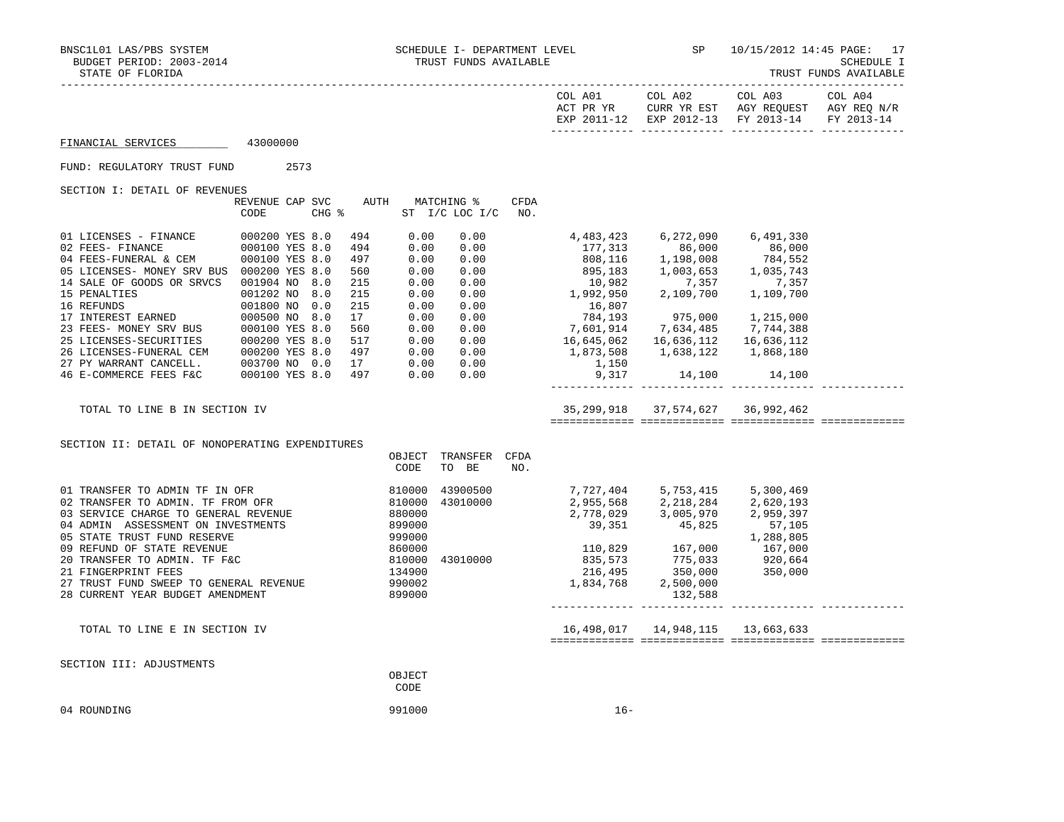TRUST FUNDS AVAILABLE

|                                                                                                                                                                                                                                                                                                                                                     |                         |  |                                 |                                      |                                                                                                   |             |                                                                                                                                                                                                                                                                                                                       | COL A01 COL A02                                                                                                                                                                                                          | COL A03<br>ACT PR YR CURR YR EST AGY REQUEST AGY REQ N/R<br>EXP 2011-12 EXP 2012-13 FY 2013-14 | COL A04<br>FY 2013-14 |
|-----------------------------------------------------------------------------------------------------------------------------------------------------------------------------------------------------------------------------------------------------------------------------------------------------------------------------------------------------|-------------------------|--|---------------------------------|--------------------------------------|---------------------------------------------------------------------------------------------------|-------------|-----------------------------------------------------------------------------------------------------------------------------------------------------------------------------------------------------------------------------------------------------------------------------------------------------------------------|--------------------------------------------------------------------------------------------------------------------------------------------------------------------------------------------------------------------------|------------------------------------------------------------------------------------------------|-----------------------|
| FINANCIAL SERVICES 43000000                                                                                                                                                                                                                                                                                                                         |                         |  |                                 |                                      |                                                                                                   |             |                                                                                                                                                                                                                                                                                                                       |                                                                                                                                                                                                                          |                                                                                                |                       |
| FUND: REGULATORY TRUST FUND 2573                                                                                                                                                                                                                                                                                                                    |                         |  |                                 |                                      |                                                                                                   |             |                                                                                                                                                                                                                                                                                                                       |                                                                                                                                                                                                                          |                                                                                                |                       |
| SECTION I: DETAIL OF REVENUES                                                                                                                                                                                                                                                                                                                       |                         |  |                                 |                                      |                                                                                                   |             |                                                                                                                                                                                                                                                                                                                       |                                                                                                                                                                                                                          |                                                                                                |                       |
|                                                                                                                                                                                                                                                                                                                                                     | REVENUE CAP SVC<br>CODE |  |                                 |                                      | AUTH MATCHING %<br>CHG % ST I/C LOC I/C NO.                                                       | <b>CFDA</b> |                                                                                                                                                                                                                                                                                                                       |                                                                                                                                                                                                                          |                                                                                                |                       |
| 05 LICENSES- MONEY SRV BUS 000200 YES 8.0<br>14 SALE OF GOODS OR SRVCS 001904 NO 8.0<br>15 BENALTIES<br>16 REFUNDS<br>16 REFUNDS<br>16 REFUNDS<br>17 INTEREST EARNED<br>17 INTEREST EARNED<br>23 FEES-MONEY SRV BUS<br>23 FEES-MONEY SRV BUS<br>26 LICENSES-SECURITIES<br>26 LICENSES-SECURITIES<br>26 LICENSES-FUNERAL CEM<br>26 LICENSES-F        |                         |  | 494<br>494<br>497<br>560<br>215 | 0.00<br>0.00<br>0.00<br>0.00<br>0.00 | 0.00<br>0.00<br>0.00<br>0.00<br>0.00<br>$0.00$<br>$0.00$                                          |             | $10,982$<br>1,992,950<br>2,109,700<br>1,109,700<br>16,807<br>784,193<br>$\begin{array}{cccc} 0.00 & 784,193 & 975,000 & 1,215,000 \\ 0.00 & 7,601,914 & 7,634,485 & 7,744,388 \\ 0.00 & 16,645,062 & 16,636,112 & 16,636,112 \end{array}$<br>1,150<br>9,317                                                           | 4,483,423 6,272,090 6,491,330<br>$177,313$<br>$86,000$<br>$808,116$<br>$895,183$<br>$1,008$<br>$784,552$<br>$1,008$<br>$784,552$<br>$1,035,743$<br>$1,035,743$<br>1,873,508    1,638,122    1,868,180<br>14,100   14,100 |                                                                                                |                       |
| TOTAL TO LINE B IN SECTION IV                                                                                                                                                                                                                                                                                                                       |                         |  |                                 |                                      |                                                                                                   |             |                                                                                                                                                                                                                                                                                                                       | 35,299,918 37,574,627 36,992,462                                                                                                                                                                                         |                                                                                                |                       |
| SECTION II: DETAIL OF NONOPERATING EXPENDITURES                                                                                                                                                                                                                                                                                                     |                         |  |                                 | CODE                                 | OBJECT TRANSFER CFDA<br>TO BE                                                                     | NO.         |                                                                                                                                                                                                                                                                                                                       |                                                                                                                                                                                                                          |                                                                                                |                       |
| 01 TRANSFER TO ADMIN TF IN OFR<br>02 TRANSFER TO ADMIN. TF FROM OFR<br>03 SERVICE CHARGE TO GENERAL REVENUE<br>04 ADMIN ASSESSMENT ON INVESTMENTS<br>05 STATE TRUST FUND RESERVE<br>09 REFUND OF STATE REVENUE<br>20 TRANSFER TO ADMIN. TF F&C<br>21 FINGERPRINT FEES<br>27 TRUST FUND SWEEP TO GENERAL REVENUE<br>28 CURRENT YEAR BUDGET AMENDMENT |                         |  |                                 | 999000<br>134900<br>990002<br>899000 | $810000$ 43900500<br>810000 43010000<br>880000<br>899000<br>43900500<br>860000<br>810000 43010000 |             | 7,727,404 5,753,415 5,300,469<br>2,955,568 2,218,284 2,620,193<br>2,778,029 3,005,970 2,959,397<br>39,351 45,825 1 1,105<br>$\begin{array}{cccc} & & & & 1,288,805\\ 110,829 & & 167,000 & & 167,000\\ 835,573 & & 775,033 & & 920,664\\ 216,495 & & 350,000 & & 350,000\\ 1,834,768 & & 2,500,000 & & & \end{array}$ | 132,588                                                                                                                                                                                                                  |                                                                                                |                       |
| TOTAL TO LINE E IN SECTION IV                                                                                                                                                                                                                                                                                                                       |                         |  |                                 |                                      |                                                                                                   |             |                                                                                                                                                                                                                                                                                                                       |                                                                                                                                                                                                                          |                                                                                                |                       |
| SECTION III: ADJUSTMENTS                                                                                                                                                                                                                                                                                                                            |                         |  |                                 | OBJECT<br>CODE                       |                                                                                                   |             |                                                                                                                                                                                                                                                                                                                       |                                                                                                                                                                                                                          |                                                                                                |                       |
| 04 ROUNDING                                                                                                                                                                                                                                                                                                                                         |                         |  |                                 | 991000                               |                                                                                                   |             | $16 -$                                                                                                                                                                                                                                                                                                                |                                                                                                                                                                                                                          |                                                                                                |                       |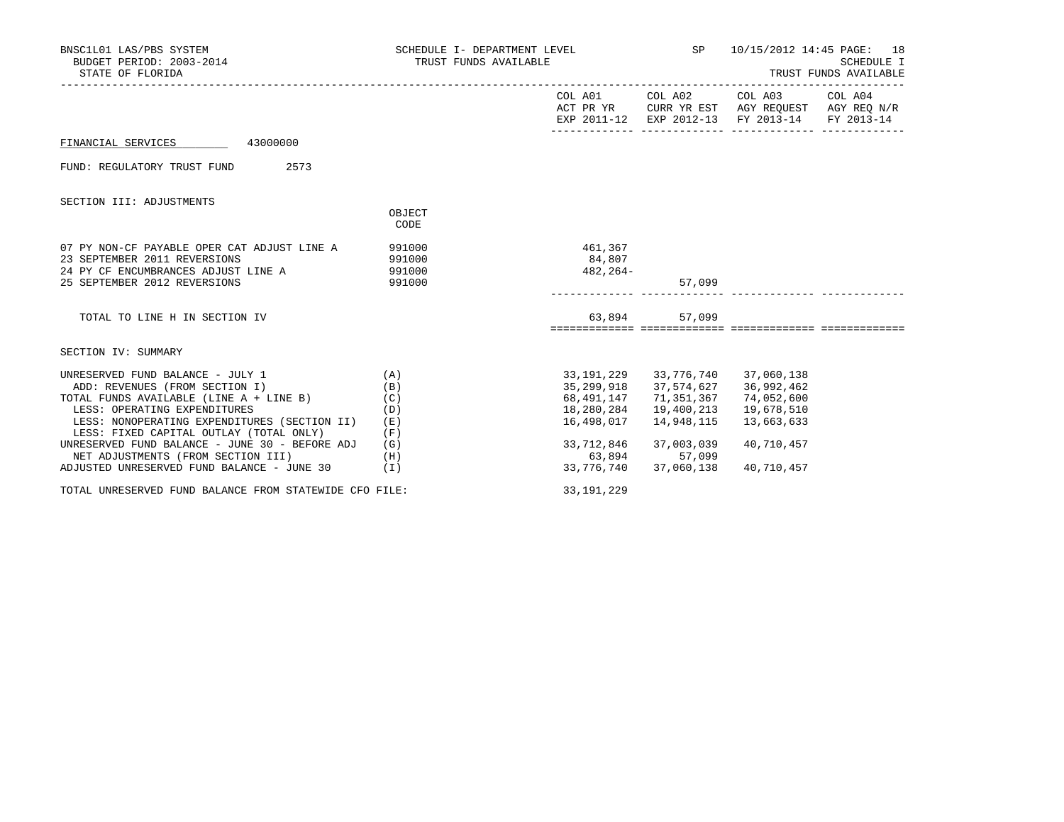| BNSC1L01 LAS/PBS SYSTEM<br>BUDGET PERIOD: 2003-2014<br>STATE OF FLORIDA                                                                                                                                    | SCHEDULE I- DEPARTMENT LEVEL (SP 10/15/2012 14:45 PAGE: 18<br>TRUST FUNDS AVAILABLE |                                                                                                                                       |                                     | SCHEDULE I<br>TRUST FUNDS AVAILABLE                                                                                               |  |  |
|------------------------------------------------------------------------------------------------------------------------------------------------------------------------------------------------------------|-------------------------------------------------------------------------------------|---------------------------------------------------------------------------------------------------------------------------------------|-------------------------------------|-----------------------------------------------------------------------------------------------------------------------------------|--|--|
|                                                                                                                                                                                                            |                                                                                     |                                                                                                                                       |                                     | COL A01 COL A02 COL A03 COL A04<br>ACT PR YR CURR YR EST AGY REQUEST AGY REQ N/R<br>EXP 2011-12 EXP 2012-13 FY 2013-14 FY 2013-14 |  |  |
| 43000000<br>FINANCIAL SERVICES                                                                                                                                                                             |                                                                                     |                                                                                                                                       |                                     |                                                                                                                                   |  |  |
| 2573<br>FUND: REGULATORY TRUST FUND                                                                                                                                                                        |                                                                                     |                                                                                                                                       |                                     |                                                                                                                                   |  |  |
| SECTION III: ADJUSTMENTS                                                                                                                                                                                   |                                                                                     |                                                                                                                                       |                                     |                                                                                                                                   |  |  |
|                                                                                                                                                                                                            | OBJECT<br>CODE                                                                      |                                                                                                                                       |                                     |                                                                                                                                   |  |  |
| 07 PY NON-CF PAYABLE OPER CAT ADJUST LINE A<br>23 SEPTEMBER 2011 REVERSIONS<br>24 PY CF ENCUMBRANCES ADJUST LINE A 391000                                                                                  | 991000<br>991000                                                                    | 461,367<br>84,807<br>482,264-                                                                                                         |                                     |                                                                                                                                   |  |  |
| 25 SEPTEMBER 2012 REVERSIONS                                                                                                                                                                               | 991000                                                                              |                                                                                                                                       | 57,099                              |                                                                                                                                   |  |  |
| TOTAL TO LINE H IN SECTION IV                                                                                                                                                                              |                                                                                     |                                                                                                                                       | 63,894 57,099                       |                                                                                                                                   |  |  |
| SECTION IV: SUMMARY                                                                                                                                                                                        |                                                                                     |                                                                                                                                       |                                     |                                                                                                                                   |  |  |
| UNRESERVED FUND BALANCE - JULY 1 $(A)$<br>ADD: REVENUES (FROM SECTION I)<br>TOTAL FUNDS AVAILABLE (LINE $A + LINE B$ ) (C)<br>LESS: OPERATING EXPENDITURES<br>LESS: NONOPERATING EXPENDITURES (SECTION II) | (B)<br>(D)<br>(E)                                                                   | 33, 191, 229 33, 776, 740 37, 060, 138<br>35, 299, 918 37, 574, 627 36, 992, 462<br>68,491,147 71,351,367<br>18,280,284<br>16,498,017 | 19,400,213<br>14,948,115            | 74,052,600<br>19,678,510<br>13,663,633                                                                                            |  |  |
| LESS: FIXED CAPITAL OUTLAY (TOTAL ONLY)<br>UNRESERVED FUND BALANCE - JUNE 30 - BEFORE ADJ<br>NET ADJUSTMENTS (FROM SECTION III)<br>ADJUSTED UNRESERVED FUND BALANCE - JUNE 30 (I)                          | (F)<br>(G)<br>(H)                                                                   | 33,712,846<br>63,894 57,099                                                                                                           | 37,003,039<br>33,776,740 37,060,138 | 40,710,457<br>40,710,457                                                                                                          |  |  |
| TOTAL UNRESERVED FUND BALANCE FROM STATEWIDE CFO FILE:                                                                                                                                                     |                                                                                     | 33, 191, 229                                                                                                                          |                                     |                                                                                                                                   |  |  |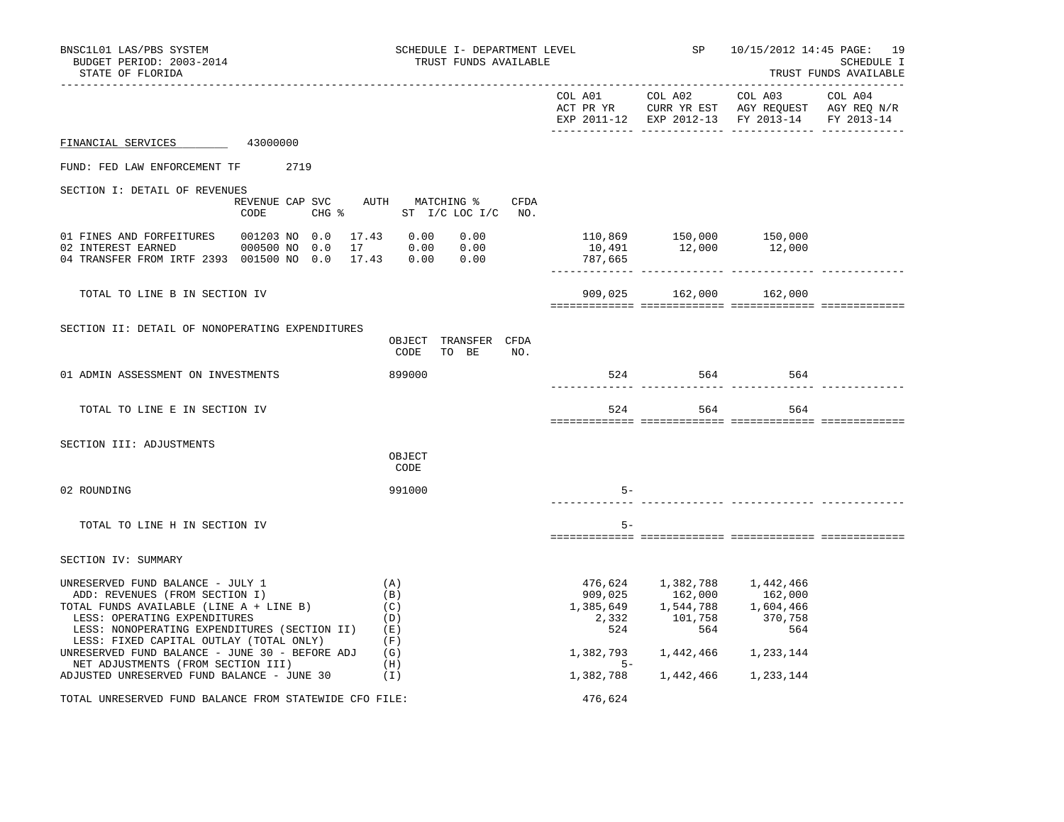| BNSC1L01 LAS/PBS SYSTEM<br>BUDGET PERIOD: 2003-2014<br>STATE OF FLORIDA                                                                                                                                                                  | SCHEDULE I- DEPARTMENT LEVEL<br>TRUST FUNDS AVAILABLE |                          | SP                                                                                            |                                                                                                | 10/15/2012 14:45 PAGE: 19<br>SCHEDULE I<br>TRUST FUNDS AVAILABLE |
|------------------------------------------------------------------------------------------------------------------------------------------------------------------------------------------------------------------------------------------|-------------------------------------------------------|--------------------------|-----------------------------------------------------------------------------------------------|------------------------------------------------------------------------------------------------|------------------------------------------------------------------|
|                                                                                                                                                                                                                                          |                                                       | ________________________ | COL A01 COL A02 COL A03                                                                       | ACT PR YR CURR YR EST AGY REQUEST AGY REQ N/R<br>EXP 2011-12 EXP 2012-13 FY 2013-14 FY 2013-14 | -----------------------<br>COL A04                               |
| FINANCIAL SERVICES 43000000                                                                                                                                                                                                              |                                                       |                          |                                                                                               |                                                                                                |                                                                  |
| FUND: FED LAW ENFORCEMENT TF 2719                                                                                                                                                                                                        |                                                       |                          |                                                                                               |                                                                                                |                                                                  |
| SECTION I: DETAIL OF REVENUES                                                                                                                                                                                                            |                                                       |                          |                                                                                               |                                                                                                |                                                                  |
| REVENUE CAP SVC AUTH MATCHING %<br>CODE<br>$CHG$ $\frac{1}{6}$                                                                                                                                                                           | CFDA<br>ST I/C LOC I/C NO.                            |                          |                                                                                               |                                                                                                |                                                                  |
| 01 FINES AND FORFEITURES<br>001203 NO 0.0 17.43 0.00<br>02 INTEREST EARNED<br>000500 NO 0.0<br>04 TRANSFER FROM IRTF 2393 001500 NO 0.0 17.43 0.00 0.00                                                                                  | 0.00<br>17 0.00 0.00                                  | 787,665                  | 10,491   12,000                                                                               |                                                                                                |                                                                  |
| TOTAL TO LINE B IN SECTION IV                                                                                                                                                                                                            |                                                       |                          | 909,025 162,000 162,000                                                                       |                                                                                                |                                                                  |
| SECTION II: DETAIL OF NONOPERATING EXPENDITURES                                                                                                                                                                                          | OBJECT TRANSFER CFDA<br>CODE<br>TO BE<br>NO.          |                          |                                                                                               |                                                                                                |                                                                  |
| 01 ADMIN ASSESSMENT ON INVESTMENTS                                                                                                                                                                                                       | 899000                                                |                          | 524 564 564                                                                                   |                                                                                                |                                                                  |
| TOTAL TO LINE E IN SECTION IV                                                                                                                                                                                                            |                                                       | 524                      |                                                                                               | 564<br>564                                                                                     |                                                                  |
| SECTION III: ADJUSTMENTS                                                                                                                                                                                                                 | OBJECT<br>CODE                                        |                          |                                                                                               |                                                                                                |                                                                  |
| 02 ROUNDING                                                                                                                                                                                                                              | 991000                                                | $5-$                     |                                                                                               |                                                                                                |                                                                  |
| TOTAL TO LINE H IN SECTION IV                                                                                                                                                                                                            |                                                       | $5-$                     |                                                                                               |                                                                                                |                                                                  |
| SECTION IV: SUMMARY                                                                                                                                                                                                                      |                                                       |                          |                                                                                               |                                                                                                |                                                                  |
| UNRESERVED FUND BALANCE - JULY 1<br>ADD: REVENUES (FROM SECTION I)<br>TOTAL FUNDS AVAILABLE (LINE A + LINE B)<br>LESS: OPERATING EXPENDITURES<br>LESS: NONOPERATING EXPENDITURES (SECTION II)<br>LESS: FIXED CAPITAL OUTLAY (TOTAL ONLY) | (A)<br>(B)<br>(C)<br>(D)<br>( E )<br>(F)              | 524                      | 476,624 1,382,788 1,442,466<br>909,025 162,000<br>1,385,649 1,544,788<br>2,332 101,758<br>564 | 162,000<br>1,604,466<br>370,758<br>564                                                         |                                                                  |
| UNRESERVED FUND BALANCE - JUNE 30 - BEFORE ADJ<br>NET ADJUSTMENTS (FROM SECTION III)                                                                                                                                                     | (G)<br>(H)                                            | 1,382,793<br>$5-$        |                                                                                               | 1,442,466 1,233,144                                                                            |                                                                  |
| (I)<br>ADJUSTED UNRESERVED FUND BALANCE - JUNE 30                                                                                                                                                                                        |                                                       | 1,382,788                |                                                                                               | 1,442,466 1,233,144                                                                            |                                                                  |
| TOTAL UNRESERVED FUND BALANCE FROM STATEWIDE CFO FILE:                                                                                                                                                                                   |                                                       | 476,624                  |                                                                                               |                                                                                                |                                                                  |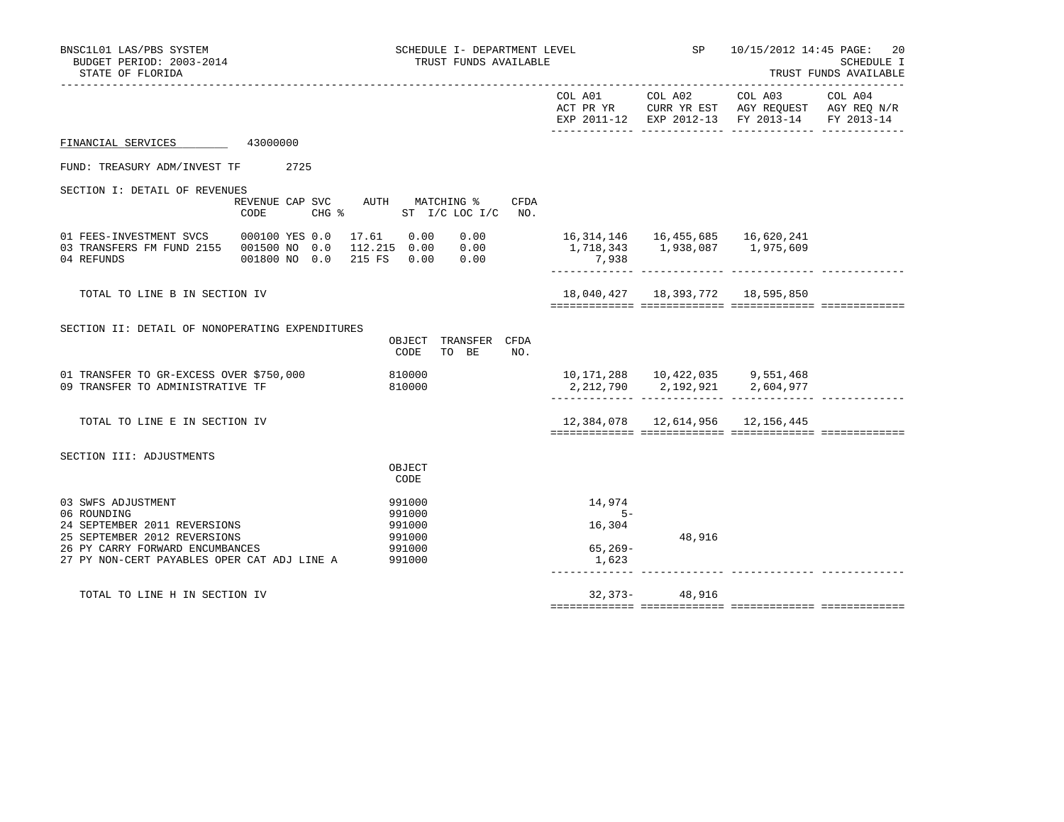| BNSC1L01 LAS/PBS SYSTEM<br>BUDGET PERIOD: 2003-2014<br>STATE OF FLORIDA                                                                                                             |                                         | SCHEDULE I- DEPARTMENT LEVEL<br>TRUST FUNDS AVAILABLE    |                                                                                               |        | SP 10/15/2012 14:45 PAGE:                                                                                                              | 20<br>SCHEDULE I<br>TRUST FUNDS AVAILABLE |
|-------------------------------------------------------------------------------------------------------------------------------------------------------------------------------------|-----------------------------------------|----------------------------------------------------------|-----------------------------------------------------------------------------------------------|--------|----------------------------------------------------------------------------------------------------------------------------------------|-------------------------------------------|
|                                                                                                                                                                                     |                                         |                                                          | COL A01 COL A02                                                                               |        | COL A03 COL A04<br>ACT PR YR $\,$ CURR YR EST $\,$ AGY REQUEST $\,$ AGY REQ $\rm N/R$<br>EXP 2011-12 EXP 2012-13 FY 2013-14 FY 2013-14 |                                           |
| FINANCIAL SERVICES 43000000                                                                                                                                                         |                                         |                                                          |                                                                                               |        |                                                                                                                                        |                                           |
| FUND: TREASURY ADM/INVEST TF 2725                                                                                                                                                   |                                         |                                                          |                                                                                               |        |                                                                                                                                        |                                           |
| SECTION I: DETAIL OF REVENUES                                                                                                                                                       |                                         |                                                          |                                                                                               |        |                                                                                                                                        |                                           |
|                                                                                                                                                                                     | REVENUE CAP SVC AUTH MATCHING %<br>CODE | CFDA<br>CHG $\frac{1}{2}$ ST I/C LOC I/C NO.             |                                                                                               |        |                                                                                                                                        |                                           |
| 01 FEES-INVESTMENT SVCS 000100 YES 0.0<br>03 TRANSFERS FM FUND 2155 001500 NO 0.0<br>04 REFUNDS                                                                                     | 001800 NO 0.0 215 FS 0.00 0.00          | 17.61 0.00<br>112.215  0.00  0.00                        | $0.00$ 16, 314, 146 16, 455, 685 16, 620, 241<br>1,718,343    1,938,087    1,975,609<br>7,938 |        |                                                                                                                                        |                                           |
| TOTAL TO LINE B IN SECTION IV                                                                                                                                                       |                                         |                                                          |                                                                                               |        | 18,040,427  18,393,772  18,595,850                                                                                                     |                                           |
| SECTION II: DETAIL OF NONOPERATING EXPENDITURES                                                                                                                                     |                                         | OBJECT TRANSFER CFDA<br>TO BE NO.<br>CODE                |                                                                                               |        |                                                                                                                                        |                                           |
| 01 TRANSFER TO GR-EXCESS OVER \$750,000<br>09 TRANSFER TO ADMINISTRATIVE TF                                                                                                         |                                         | 810000<br>810000                                         | 10,171,288  10,422,035  9,551,468                                                             |        | 2, 212, 790 2, 192, 921 2, 604, 977                                                                                                    |                                           |
| TOTAL TO LINE E IN SECTION IV                                                                                                                                                       |                                         |                                                          |                                                                                               |        | 12,384,078  12,614,956  12,156,445                                                                                                     |                                           |
| SECTION III: ADJUSTMENTS                                                                                                                                                            |                                         | OBJECT<br>CODE                                           |                                                                                               |        |                                                                                                                                        |                                           |
| 03 SWFS ADJUSTMENT<br>06 ROUNDING<br>24 SEPTEMBER 2011 REVERSIONS<br>25 SEPTEMBER 2012 REVERSIONS<br>26 PY CARRY FORWARD ENCUMBANCES<br>27 PY NON-CERT PAYABLES OPER CAT ADJ LINE A |                                         | 991000<br>991000<br>991000<br>991000<br>991000<br>991000 | 14,974<br>$5 -$<br>16,304<br>65,269-<br>1,623                                                 | 48,916 |                                                                                                                                        |                                           |
| TOTAL TO LINE H IN SECTION IV                                                                                                                                                       |                                         |                                                          | 32,373-                                                                                       | 48,916 |                                                                                                                                        |                                           |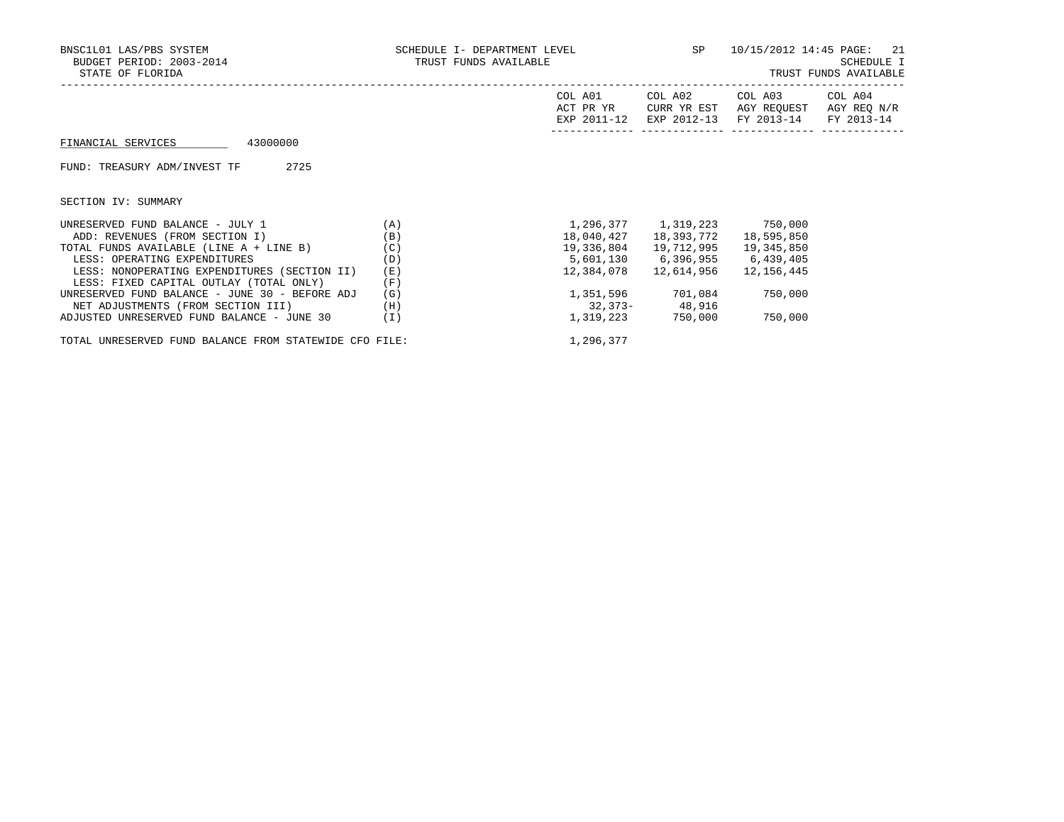| BNSC1L01 LAS/PBS SYSTEM<br>BUDGET PERIOD: 2003-2014<br>STATE OF FLORIDA                                                                                                                                                                                                                                                          | SCHEDULE I- DEPARTMENT LEVEL<br>TRUST FUNDS AVAILABLE |                                                     |                                                                                            | SP 10/15/2012 14:45 PAGE: 21                                   | SCHEDULE I<br>TRUST FUNDS AVAILABLE |
|----------------------------------------------------------------------------------------------------------------------------------------------------------------------------------------------------------------------------------------------------------------------------------------------------------------------------------|-------------------------------------------------------|-----------------------------------------------------|--------------------------------------------------------------------------------------------|----------------------------------------------------------------|-------------------------------------|
|                                                                                                                                                                                                                                                                                                                                  |                                                       | COL A01<br>ACT PR YR<br>EXP 2011-12                 | COL A02<br>CURR YR EST<br>EXP 2012-13                                                      | COL A03 COL A04<br>AGY REOUEST<br>FY 2013-14                   | AGY REQ N/R<br>FY 2013-14           |
| 43000000<br>FINANCIAL SERVICES                                                                                                                                                                                                                                                                                                   |                                                       |                                                     |                                                                                            |                                                                |                                     |
| 2725<br>FUND: TREASURY ADM/INVEST TF                                                                                                                                                                                                                                                                                             |                                                       |                                                     |                                                                                            |                                                                |                                     |
| SECTION IV: SUMMARY                                                                                                                                                                                                                                                                                                              |                                                       |                                                     |                                                                                            |                                                                |                                     |
| UNRESERVED FUND BALANCE - JULY 1<br>ADD: REVENUES (FROM SECTION I)<br>TOTAL FUNDS AVAILABLE (LINE A + LINE B)<br>LESS: OPERATING EXPENDITURES<br>LESS: NONOPERATING EXPENDITURES (SECTION II)<br>LESS: FIXED CAPITAL OUTLAY (TOTAL ONLY)<br>UNRESERVED FUND BALANCE - JUNE 30 - BEFORE ADJ<br>NET ADJUSTMENTS (FROM SECTION III) | (A)<br>(B)<br>(C)<br>(D)<br>(E)<br>(F)<br>(G)<br>(H)  | 18,040,427<br>19,336,804<br>5,601,130<br>12,384,078 | 18,393,772<br>19,712,995<br>6,396,955<br>12,614,956<br>1,351,596 701,084<br>32,373- 48,916 | 18,595,850<br>19,345,850<br>6,439,405<br>12,156,445<br>750,000 |                                     |
| ADJUSTED UNRESERVED FUND BALANCE - JUNE 30                                                                                                                                                                                                                                                                                       | (I)                                                   | 1,319,223                                           | 750,000                                                                                    | 750,000                                                        |                                     |

TOTAL UNRESERVED FUND BALANCE FROM STATEWIDE CFO FILE:  $1,296,377$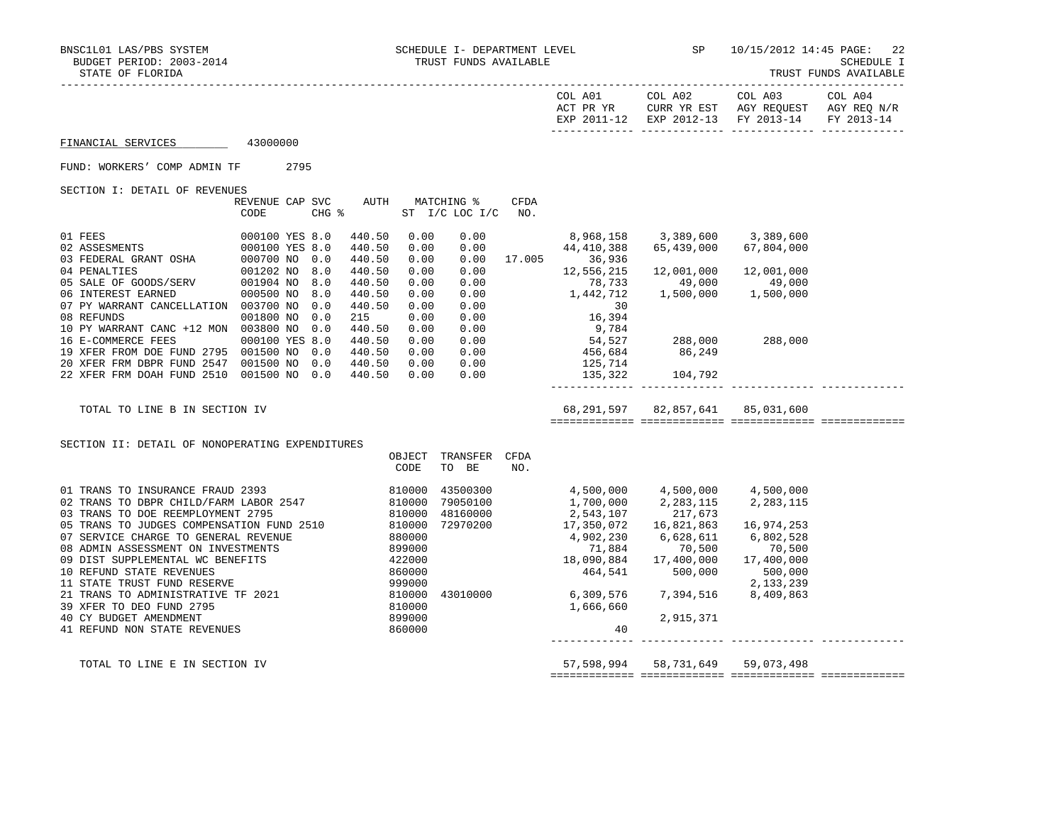|                                                 |                 |     |                 |        |                    |      |                                                                                            |                                                       | EXP 2011-12 EXP 2012-13 FY 2013-14 FY 2013-14 |  |
|-------------------------------------------------|-----------------|-----|-----------------|--------|--------------------|------|--------------------------------------------------------------------------------------------|-------------------------------------------------------|-----------------------------------------------|--|
| FINANCIAL SERVICES                              | 43000000        |     |                 |        |                    |      |                                                                                            |                                                       |                                               |  |
| FUND: WORKERS' COMP ADMIN TF 2795               |                 |     |                 |        |                    |      |                                                                                            |                                                       |                                               |  |
| SECTION I: DETAIL OF REVENUES                   |                 |     |                 |        |                    |      |                                                                                            |                                                       |                                               |  |
|                                                 | REVENUE CAP SVC |     |                 |        | AUTH MATCHING %    | CFDA |                                                                                            |                                                       |                                               |  |
|                                                 | CODE            |     | $CHG$ $\approx$ |        | ST I/C LOC I/C NO. |      |                                                                                            |                                                       |                                               |  |
|                                                 |                 |     |                 |        |                    |      |                                                                                            |                                                       |                                               |  |
|                                                 |                 |     | 440.50          | 0.00   | 0.00               |      | 8,968,158 3,389,600 3,389,600                                                              |                                                       |                                               |  |
|                                                 |                 |     | 440.50          | 0.00   | 0.00               |      | 44,410,388                                                                                 | 65,439,000                                            | 67,804,000                                    |  |
|                                                 |                 |     | 440.50          | 0.00   |                    |      | $0.00$ 17.005 36,936                                                                       |                                                       |                                               |  |
|                                                 |                 |     | 440.50          | 0.00   | 0.00               |      | 12,556,215                                                                                 | 12,001,000                                            | 12,001,000                                    |  |
|                                                 |                 |     | 440.50          | 0.00   | 0.00               |      | 78,733                                                                                     |                                                       |                                               |  |
|                                                 |                 |     | 440.50          | 0.00   | 0.00               |      | 78,733<br>1,442,712                                                                        | $49,000$<br>$1,500,000$<br>$1,500,000$<br>$1,500,000$ |                                               |  |
| 07 PY WARRANT CANCELLATION 003700 NO            |                 | 0.0 | 440.50          | 0.00   |                    |      |                                                                                            |                                                       |                                               |  |
| 08 REFUNDS                                      | 001800 NO       | 0.0 | 215             | 0.00   |                    |      |                                                                                            |                                                       |                                               |  |
| 10 PY WARRANT CANC +12 MON 003800 NO 0.0        |                 |     | 440.50          | 0.00   |                    |      |                                                                                            |                                                       |                                               |  |
| 16 E-COMMERCE FEES                              | 000100 YES 8.0  |     | 440.50          | 0.00   |                    |      |                                                                                            |                                                       |                                               |  |
| 19 XFER FROM DOE FUND 2795 001500 NO 0.0        |                 |     | 440.50          | 0.00   |                    |      |                                                                                            |                                                       |                                               |  |
| 20 XFER FRM DBPR FUND 2547 001500 NO 0.0        |                 |     | 440.50          | 0.00   |                    |      |                                                                                            |                                                       |                                               |  |
| 22 XFER FRM DOAH FUND 2510 001500 NO 0.0        |                 |     | 440.50          |        | 0.00 0.00          |      |                                                                                            | 135, 322 104, 792                                     |                                               |  |
|                                                 |                 |     |                 |        |                    |      |                                                                                            |                                                       |                                               |  |
| TOTAL TO LINE B IN SECTION IV                   |                 |     |                 |        |                    |      |                                                                                            |                                                       |                                               |  |
|                                                 |                 |     |                 |        |                    |      |                                                                                            |                                                       |                                               |  |
|                                                 |                 |     |                 |        |                    |      |                                                                                            |                                                       |                                               |  |
| SECTION II: DETAIL OF NONOPERATING EXPENDITURES |                 |     |                 |        |                    |      |                                                                                            |                                                       |                                               |  |
|                                                 |                 |     |                 | OBJECT | TRANSFER CFDA      |      |                                                                                            |                                                       |                                               |  |
|                                                 |                 |     |                 | CODE   | TO BE              | NO.  |                                                                                            |                                                       |                                               |  |
|                                                 |                 |     |                 |        |                    |      | 4,500,000<br>1,700,000<br>2,283,115<br>2,543,107<br>17,350,072<br>16,821,863<br>16,974,253 |                                                       |                                               |  |
|                                                 |                 |     |                 |        | 43500300           |      |                                                                                            |                                                       |                                               |  |
|                                                 |                 |     |                 |        | 79050100           |      |                                                                                            |                                                       |                                               |  |
|                                                 |                 |     |                 |        | 48160000           |      |                                                                                            |                                                       |                                               |  |
|                                                 |                 |     |                 |        | 72970200           |      |                                                                                            |                                                       |                                               |  |
|                                                 |                 |     |                 |        |                    |      | 4,902,230                                                                                  | 6,628,611                                             | 6,802,528                                     |  |
|                                                 |                 |     |                 |        |                    |      | 71,884                                                                                     | 70,500                                                | 70,500                                        |  |
|                                                 |                 |     |                 |        |                    |      | $71,884$<br>18,090,884<br>17,400,000                                                       |                                                       | 17,400,000                                    |  |
|                                                 |                 |     |                 |        |                    |      | $464,541$ 500,000                                                                          |                                                       | 500,000                                       |  |
|                                                 |                 |     |                 |        |                    |      |                                                                                            |                                                       |                                               |  |
|                                                 |                 |     |                 |        |                    |      |                                                                                            |                                                       |                                               |  |
|                                                 |                 |     |                 |        |                    |      | 1,666,660                                                                                  |                                                       |                                               |  |
|                                                 |                 |     |                 | 860000 |                    |      | 40                                                                                         | 2,915,371                                             |                                               |  |
| 41 REFUND NON STATE REVENUES                    |                 |     |                 |        |                    |      |                                                                                            |                                                       |                                               |  |
|                                                 |                 |     |                 |        |                    |      |                                                                                            |                                                       |                                               |  |

TOTAL TO LINE E IN SECTION IV **57,598,994** 58,731,649 59,073,498 ============= ============= ============= =============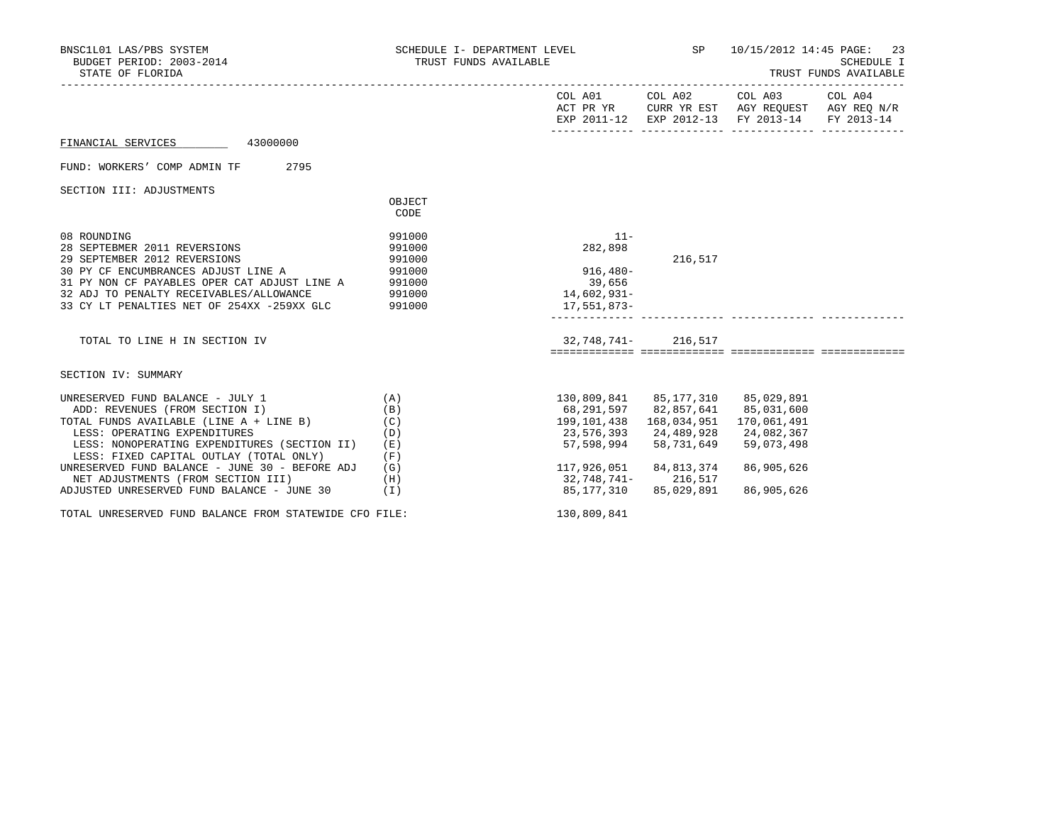| BNSC1L01 LAS/PBS SYSTEM<br>BUDGET PERIOD: 2003-2014<br>STATE OF FLORIDA                                                                                                                                                                                                                                                                                                        | SCHEDULE I- DEPARTMENT LEVEL<br>TRUST FUNDS AVAILABLE       |                                                                                                                                                      | SP                                     | 10/15/2012 14:45 PAGE: 23                                                                                              | <b>SCHEDULE I</b><br>TRUST FUNDS AVAILABLE |
|--------------------------------------------------------------------------------------------------------------------------------------------------------------------------------------------------------------------------------------------------------------------------------------------------------------------------------------------------------------------------------|-------------------------------------------------------------|------------------------------------------------------------------------------------------------------------------------------------------------------|----------------------------------------|------------------------------------------------------------------------------------------------------------------------|--------------------------------------------|
|                                                                                                                                                                                                                                                                                                                                                                                |                                                             |                                                                                                                                                      |                                        | COL A01 COL A02 COL A03 COL A04<br>ACT PR YR CURR YR EST AGY REQUEST AGY REQ N/R<br>EXP 2011-12 EXP 2012-13 FY 2013-14 | FY 2013-14                                 |
| FINANCIAL SERVICES 43000000                                                                                                                                                                                                                                                                                                                                                    |                                                             |                                                                                                                                                      |                                        |                                                                                                                        |                                            |
| FUND: WORKERS' COMP ADMIN TF<br>2795                                                                                                                                                                                                                                                                                                                                           |                                                             |                                                                                                                                                      |                                        |                                                                                                                        |                                            |
| SECTION III: ADJUSTMENTS                                                                                                                                                                                                                                                                                                                                                       | OBJECT<br>CODE                                              |                                                                                                                                                      |                                        |                                                                                                                        |                                            |
| 08 ROUNDING<br>28 SEPTEBMER 2011 REVERSIONS<br>29 SEPTEMBER 2012 REVERSIONS<br>30 PY CF ENCUMBRANCES ADJUST LINE A 991000<br>31 PY NON CF PAYABLES OPER CAT ADJUST LINE A 991000<br>32 ADJ TO PENALTY RECEIVABLES/ALLOWANCE<br>33 CY LT PENALTIES NET OF 254XX -259XX GLC 991000                                                                                               | 991000<br>991000<br>991000<br>991000                        | $11-$<br>282,898<br>$916,480 -$<br>39,656<br>14,602,931-<br>17,551,873-                                                                              | 216,517                                |                                                                                                                        |                                            |
| TOTAL TO LINE H IN SECTION IV                                                                                                                                                                                                                                                                                                                                                  |                                                             | 32,748,741- 216,517                                                                                                                                  |                                        |                                                                                                                        |                                            |
| SECTION IV: SUMMARY                                                                                                                                                                                                                                                                                                                                                            |                                                             |                                                                                                                                                      |                                        |                                                                                                                        |                                            |
| UNRESERVED FUND BALANCE - JULY 1<br>ADD: REVENUES (FROM SECTION I)<br>TOTAL FUNDS AVAILABLE (LINE A + LINE B)<br>LESS: OPERATING EXPENDITURES<br>LESS: NONOPERATING EXPENDITURES (SECTION II)<br>LESS: FIXED CAPITAL OUTLAY (TOTAL ONLY)<br>UNRESERVED FUND BALANCE - JUNE 30 - BEFORE ADJ<br>NET ADJUSTMENTS (FROM SECTION III)<br>ADJUSTED UNRESERVED FUND BALANCE - JUNE 30 | (A)<br>(B)<br>(C)<br>(D)<br>(E)<br>(F)<br>(G)<br>(H)<br>(I) | 130,809,841 85,177,310 85,029,891<br>68,291,597 82,857,641<br>23,576,393 24,489,928<br>57,598,994<br>117,926,051<br>32,748,741-216,517<br>85,177,310 | 58,731,649<br>84,813,374<br>85,029,891 | 85,031,600<br>170,061,491<br>24,082,367<br>59,073,498<br>86,905,626<br>86,905,626                                      |                                            |
| TOTAL UNRESERVED FUND BALANCE FROM STATEWIDE CFO FILE:                                                                                                                                                                                                                                                                                                                         |                                                             | 130,809,841                                                                                                                                          |                                        |                                                                                                                        |                                            |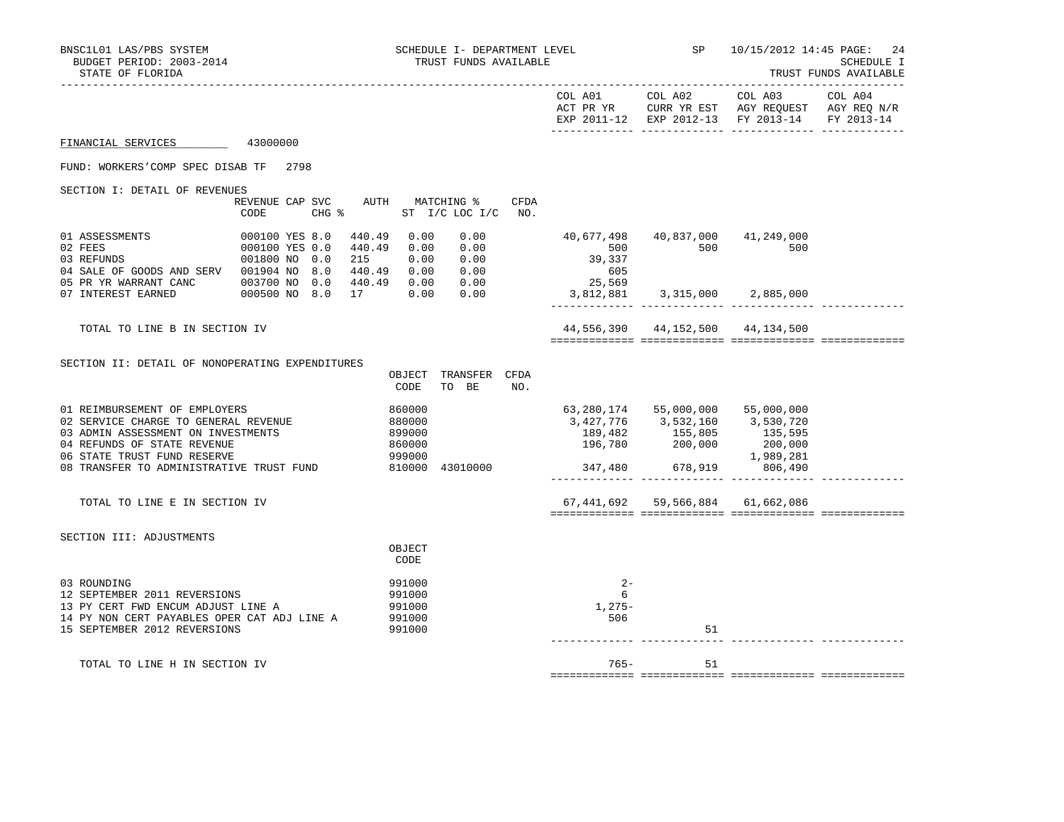| BNSC1L01 LAS/PBS SYSTEM<br>BUDGET PERIOD: 2003-2014<br>STATE OF FLORIDA                                                                                                                                               |                                                                                     |                                             |                                                | SCHEDULE I- DEPARTMENT LEVEL<br>TRUST FUNDS AVAILABLE |      |                                                          | SP                                                       | 10/15/2012 14:45 PAGE:                                                                                    | 24<br><b>SCHEDULE I</b><br>TRUST FUNDS AVAILABLE |
|-----------------------------------------------------------------------------------------------------------------------------------------------------------------------------------------------------------------------|-------------------------------------------------------------------------------------|---------------------------------------------|------------------------------------------------|-------------------------------------------------------|------|----------------------------------------------------------|----------------------------------------------------------|-----------------------------------------------------------------------------------------------------------|--------------------------------------------------|
|                                                                                                                                                                                                                       |                                                                                     |                                             |                                                |                                                       |      | COL A01                                                  | COL A02                                                  | COL A03<br>ACT PR YR CURR YR EST AGY REQUEST AGY REQ N/R<br>EXP 2011-12 EXP 2012-13 FY 2013-14 FY 2013-14 | COL A04                                          |
| FINANCIAL SERVICES                                                                                                                                                                                                    | 43000000                                                                            |                                             |                                                |                                                       |      |                                                          |                                                          |                                                                                                           |                                                  |
| FUND: WORKERS'COMP SPEC DISAB TF 2798                                                                                                                                                                                 |                                                                                     |                                             |                                                |                                                       |      |                                                          |                                                          |                                                                                                           |                                                  |
| SECTION I: DETAIL OF REVENUES                                                                                                                                                                                         |                                                                                     |                                             |                                                |                                                       |      |                                                          |                                                          |                                                                                                           |                                                  |
|                                                                                                                                                                                                                       | REVENUE CAP SVC<br>CODE                                                             | $CHG$ $\approx$                             |                                                | AUTH MATCHING %<br>ST I/C LOC I/C NO.                 | CFDA |                                                          |                                                          |                                                                                                           |                                                  |
| 01 ASSESSMENTS<br>02 FEES<br>03 REFUNDS<br>04 SALE OF GOODS AND SERV<br>05 PR YR WARRANT CANC                                                                                                                         | 000100 YES 8.0<br>000100 YES 0.0<br>001800 NO 0.0<br>001904 NO 8.0<br>003700 NO 0.0 | 440.49<br>440.49<br>215<br>440.49<br>440.49 | 0.00<br>0.00<br>0.00<br>0.00<br>0.00           | 0.00<br>0.00<br>0.00<br>0.00<br>0.00                  |      | 40,677,498<br>500<br>39,337<br>605<br>25,569             | 500                                                      | 40,837,000 41,249,000<br>500                                                                              |                                                  |
| 07 INTEREST EARNED                                                                                                                                                                                                    | 000500 NO 8.0                                                                       | 17                                          | 0.00                                           | 0.00                                                  |      | 3,812,881                                                |                                                          | 3,315,000 2,885,000                                                                                       |                                                  |
| TOTAL TO LINE B IN SECTION IV                                                                                                                                                                                         |                                                                                     |                                             |                                                |                                                       |      |                                                          | 44,556,390 44,152,500 44,134,500                         |                                                                                                           |                                                  |
| SECTION II: DETAIL OF NONOPERATING EXPENDITURES                                                                                                                                                                       |                                                                                     |                                             |                                                |                                                       |      |                                                          |                                                          |                                                                                                           |                                                  |
|                                                                                                                                                                                                                       |                                                                                     |                                             | CODE                                           | OBJECT TRANSFER CFDA<br>TO BE                         | NO.  |                                                          |                                                          |                                                                                                           |                                                  |
| 01 REIMBURSEMENT OF EMPLOYERS<br>02 SERVICE CHARGE TO GENERAL REVENUE<br>03 ADMIN ASSESSMENT ON INVESTMENTS<br>04 REFUNDS OF STATE REVENUE<br>06 STATE TRUST FUND RESERVE<br>08 TRANSFER TO ADMINISTRATIVE TRUST FUND |                                                                                     |                                             | 860000<br>880000<br>899000<br>860000<br>999000 | 810000 43010000                                       |      | 63,280,174<br>3,427,776<br>189,482<br>196,780<br>347,480 | 55,000,000<br>3,532,160<br>155,805<br>200,000<br>678,919 | 55,000,000<br>3,530,720<br>135,595<br>200,000<br>1,989,281<br>806,490                                     |                                                  |
| TOTAL TO LINE E IN SECTION IV                                                                                                                                                                                         |                                                                                     |                                             |                                                |                                                       |      |                                                          | 67,441,692 59,566,884 61,662,086                         |                                                                                                           |                                                  |
| SECTION III: ADJUSTMENTS                                                                                                                                                                                              |                                                                                     |                                             | OBJECT<br>CODE                                 |                                                       |      |                                                          |                                                          |                                                                                                           |                                                  |
| 03 ROUNDING<br>12 SEPTEMBER 2011 REVERSIONS<br>13 PY CERT FWD ENCUM ADJUST LINE A<br>14 PY NON CERT PAYABLES OPER CAT ADJ LINE A<br>15 SEPTEMBER 2012 REVERSIONS                                                      |                                                                                     |                                             | 991000<br>991000<br>991000<br>991000<br>991000 |                                                       |      | $2 -$<br>6<br>1,275-<br>506                              | 51                                                       |                                                                                                           |                                                  |
| TOTAL TO LINE H IN SECTION IV                                                                                                                                                                                         |                                                                                     |                                             |                                                |                                                       |      | 765-                                                     | 51                                                       |                                                                                                           |                                                  |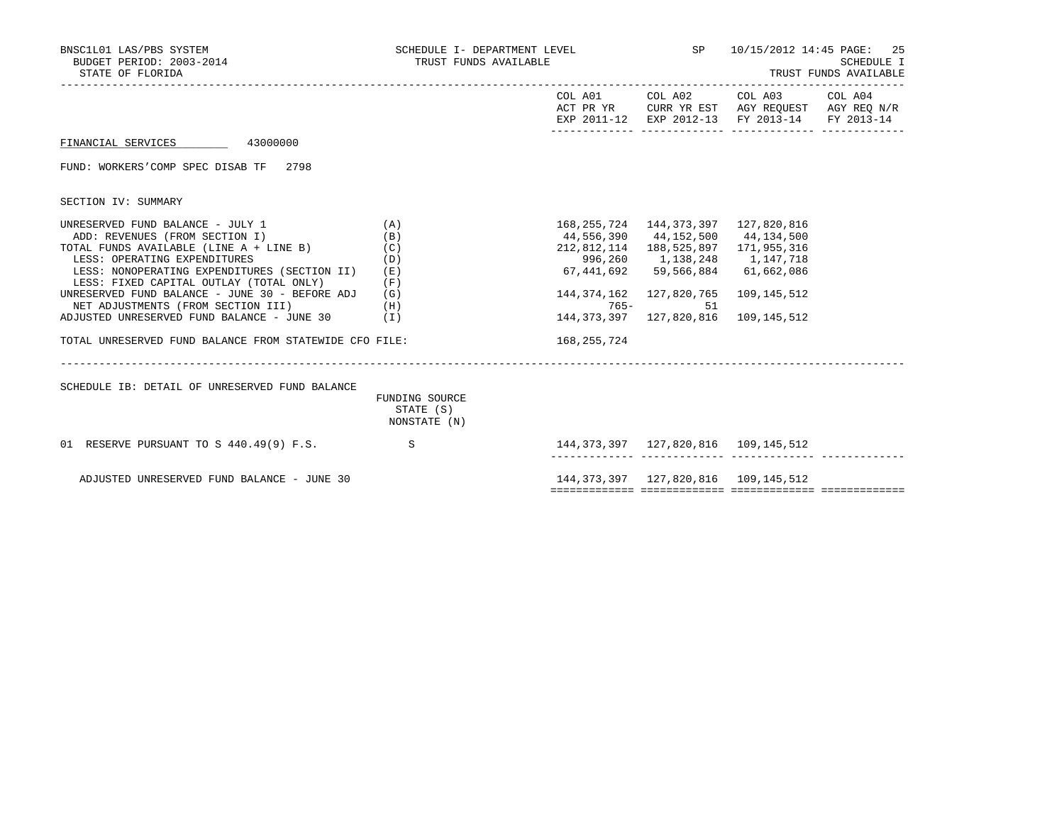| BNSC1L01 LAS/PBS SYSTEM<br>BUDGET PERIOD: $2003-2014$<br>STATE OF FLORIDA                                                                                                                                                                                                                                                                                                                                                                            |                                               | TRUST FUNDS AVAILABLE                                                                     |                                                                                                                                                                                                                              | SCHEDULE I- DEPARTMENT LEVEL SP $10/15/2012$ 14:45 PAGE:<br>-25<br>SCHEDULE I<br>TRUST FUNDS AVAILABLE                            |  |  |  |
|------------------------------------------------------------------------------------------------------------------------------------------------------------------------------------------------------------------------------------------------------------------------------------------------------------------------------------------------------------------------------------------------------------------------------------------------------|-----------------------------------------------|-------------------------------------------------------------------------------------------|------------------------------------------------------------------------------------------------------------------------------------------------------------------------------------------------------------------------------|-----------------------------------------------------------------------------------------------------------------------------------|--|--|--|
|                                                                                                                                                                                                                                                                                                                                                                                                                                                      |                                               |                                                                                           |                                                                                                                                                                                                                              | COL A01 COL A02 COL A03 COL A04<br>ACT PR YR CURR YR EST AGY REQUEST AGY REQ N/R<br>EXP 2011-12 EXP 2012-13 FY 2013-14 FY 2013-14 |  |  |  |
| FINANCIAL SERVICES 43000000                                                                                                                                                                                                                                                                                                                                                                                                                          |                                               |                                                                                           |                                                                                                                                                                                                                              |                                                                                                                                   |  |  |  |
| FUND: WORKERS'COMP SPEC DISAB TF 2798                                                                                                                                                                                                                                                                                                                                                                                                                |                                               |                                                                                           |                                                                                                                                                                                                                              |                                                                                                                                   |  |  |  |
| SECTION IV: SUMMARY                                                                                                                                                                                                                                                                                                                                                                                                                                  |                                               |                                                                                           |                                                                                                                                                                                                                              |                                                                                                                                   |  |  |  |
| UNRESERVED FUND BALANCE - JULY 1 $(A)$<br>ADD: REVENUES (FROM SECTION I)<br>TOTAL FUNDS AVAILABLE (LINE A + LINE B)<br>LESS: OPERATING EXPENDITURES<br>LESS: NONOPERATING EXPENDITURES (SECTION II)<br>LESS: FIXED CAPITAL OUTLAY (TOTAL ONLY)<br>UNRESERVED FUND BALANCE - JUNE 30 - BEFORE ADJ<br>NET ADJUSTMENTS (FROM SECTION III)<br>ADJUSTED UNRESERVED FUND BALANCE - JUNE 30 $(1)$<br>TOTAL UNRESERVED FUND BALANCE FROM STATEWIDE CFO FILE: | (B)<br>(C)<br>(D)<br>(E)<br>(F)<br>(G)<br>(H) | 44,556,390 44,152,500 44,134,500<br>$67,441,692$ $59,566,884$ $61,662,086$<br>168,255,724 | 168, 255, 724 144, 373, 397 127, 820, 816<br>212,812,114  188,525,897  171,955,316<br>996,260 1,138,248 1,147,718<br>144, 374, 162 127, 820, 765 109, 145, 512<br>$765 -$<br>51<br>144, 373, 397 127, 820, 816 109, 145, 512 |                                                                                                                                   |  |  |  |
| SCHEDULE IB: DETAIL OF UNRESERVED FUND BALANCE                                                                                                                                                                                                                                                                                                                                                                                                       | FUNDING SOURCE<br>STATE (S)<br>NONSTATE (N)   |                                                                                           |                                                                                                                                                                                                                              |                                                                                                                                   |  |  |  |
| 01 RESERVE PURSUANT TO S 440.49(9) F.S. S                                                                                                                                                                                                                                                                                                                                                                                                            |                                               | 144, 373, 397 127, 820, 816 109, 145, 512                                                 |                                                                                                                                                                                                                              |                                                                                                                                   |  |  |  |
| ADJUSTED UNRESERVED FUND BALANCE - JUNE 30                                                                                                                                                                                                                                                                                                                                                                                                           |                                               |                                                                                           |                                                                                                                                                                                                                              |                                                                                                                                   |  |  |  |